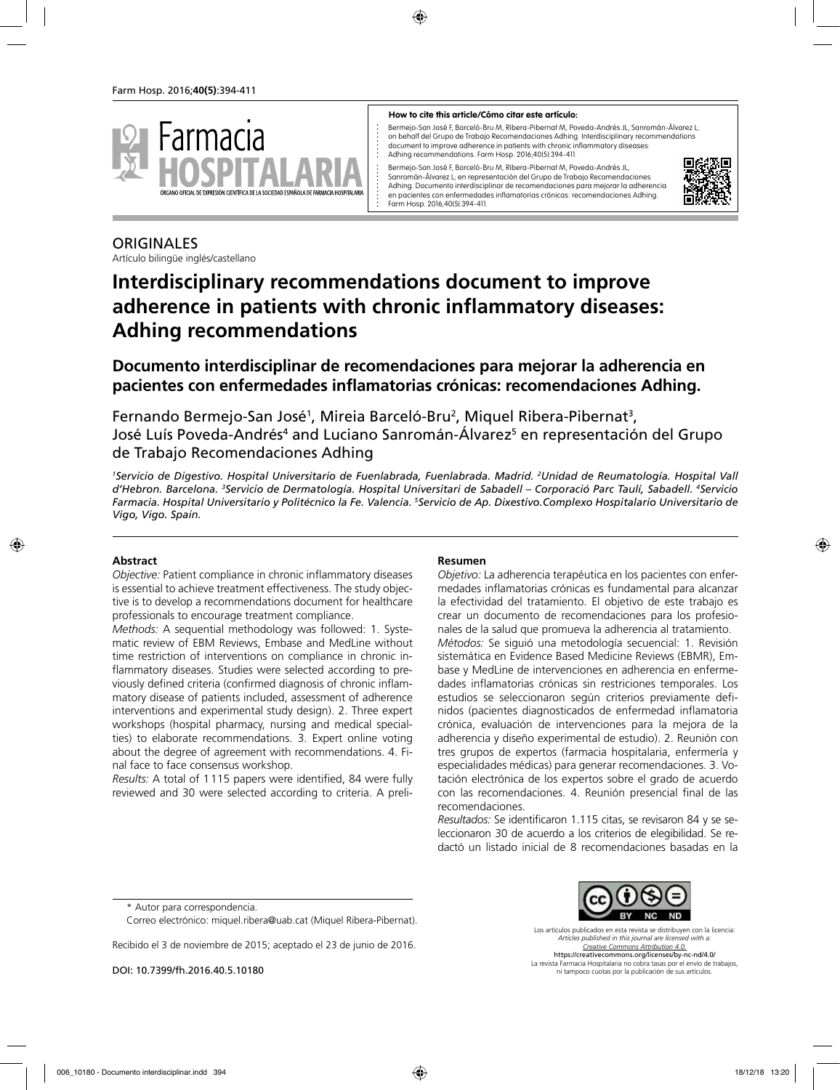

#### **How to cite this article/Cómo citar este artículo:**

Bermejo-San José F, Barceló-Bru M, Ribera-Pibernat M, Poveda-Andrés JL, Sanromán-Álvarez L; on behalf del Grupo de Trabajo Recomendaciones Adhing. Interdisciplinary recommendations document to improve adherence in patients with chronic inflammatory diseases: Adhing recommendations. Farm Hosp. 2016;40(5):394-411.

Bermejo-San José E, Barceló-Bru M, Ribera-Pibernat M, Poveda-Andrés JL, Sanromán-Álvarez L; en representación del Grupo de Trabajo Recomendaciones Adhing. Documento interdisciplinar de recomendaciones para mejorar la adherencia en pacientes con enfermedades inflamatorias crónicas: recomendaciones Adhing. Farm Hosp. 2016;40(5):394-411.



# **ORIGINALES**

Artículo bilingüe inglés/castellano

# **Interdisciplinary recommendations document to improve adherence in patients with chronic inflammatory diseases: Adhing recommendations**

**Documento interdisciplinar de recomendaciones para mejorar la adherencia en pacientes con enfermedades inflamatorias crónicas: recomendaciones Adhing.**

Fernando Bermejo-San José<sup>1</sup>, Mireia Barceló-Bru<sup>2</sup>, Miquel Ribera-Pibernat<sup>3</sup>, José Luís Poveda-Andrés<sup>4</sup> and Luciano Sanromán-Álvarez<sup>5</sup> en representación del Grupo de Trabajo Recomendaciones Adhing

*1 Servicio de Digestivo. Hospital Universitario de Fuenlabrada, Fuenlabrada. Madrid. 2 Unidad de Reumatología. Hospital Vall d'Hebron. Barcelona. 3 Servicio de Dermatología. Hospital Universitari de Sabadell – Corporació Parc Taulí, Sabadell. 4 Servicio Farmacia. Hospital Universitario y Politécnico la Fe. Valencia. 5 Servicio de Ap. Dixestivo.Complexo Hospitalario Universitario de Vigo, Vigo. Spain.*

### **Abstract**

*Objective:* Patient compliance in chronic inflammatory diseases is essential to achieve treatment effectiveness. The study objective is to develop a recommendations document for healthcare professionals to encourage treatment compliance.

*Methods:* A sequential methodology was followed: 1. Systematic review of EBM Reviews, Embase and MedLine without time restriction of interventions on compliance in chronic inflammatory diseases. Studies were selected according to previously defined criteria (confirmed diagnosis of chronic inflammatory disease of patients included, assessment of adherence interventions and experimental study design). 2. Three expert workshops (hospital pharmacy, nursing and medical specialties) to elaborate recommendations. 3. Expert online voting about the degree of agreement with recommendations. 4. Final face to face consensus workshop.

*Results:* A total of 1115 papers were identified, 84 were fully reviewed and 30 were selected according to criteria. A preli-

### **Resumen**

*Objetivo:* La adherencia terapéutica en los pacientes con enfermedades inflamatorias crónicas es fundamental para alcanzar la efectividad del tratamiento. El objetivo de este trabajo es crear un documento de recomendaciones para los profesionales de la salud que promueva la adherencia al tratamiento. *Métodos:* Se siguió una metodología secuencial: 1. Revisión sistemática en Evidence Based Medicine Reviews (EBMR), Embase y MedLine de intervenciones en adherencia en enfermedades inflamatorias crónicas sin restriciones temporales. Los estudios se seleccionaron según criterios previamente definidos (pacientes diagnosticados de enfermedad inflamatoria crónica, evaluación de intervenciones para la mejora de la adherencia y diseño experimental de estudio). 2. Reunión con tres grupos de expertos (farmacia hospitalaria, enfermería y especialidades médicas) para generar recomendaciones. 3. Votación electrónica de los expertos sobre el grado de acuerdo con las recomendaciones. 4. Reunión presencial final de las recomendaciones.

*Resultados:* Se identificaron 1.115 citas, se revisaron 84 y se seleccionaron 30 de acuerdo a los criterios de elegibilidad. Se redactó un listado inicial de 8 recomendaciones basadas en la

Recibido el 3 de noviembre de 2015; aceptado el 23 de junio de 2016.

DOI: 10.7399/fh.2016.40.5.10180

Los artículos publicados en esta revista se distribuyen con la licencia: *Articles published in this journal are licensed with a: Creative Commons Attribution 4.0.* https://creativecommons.org/licenses/by-nc-nd/4.0/

La revista Farmacia Hospitalaria no cobra tasas por el envío de trabajos, ni tampoco cuotas por la publicación de sus artículos.

<sup>\*</sup> Autor para correspondencia.

Correo electrónico: miquel.ribera@uab.cat (Miquel Ribera-Pibernat).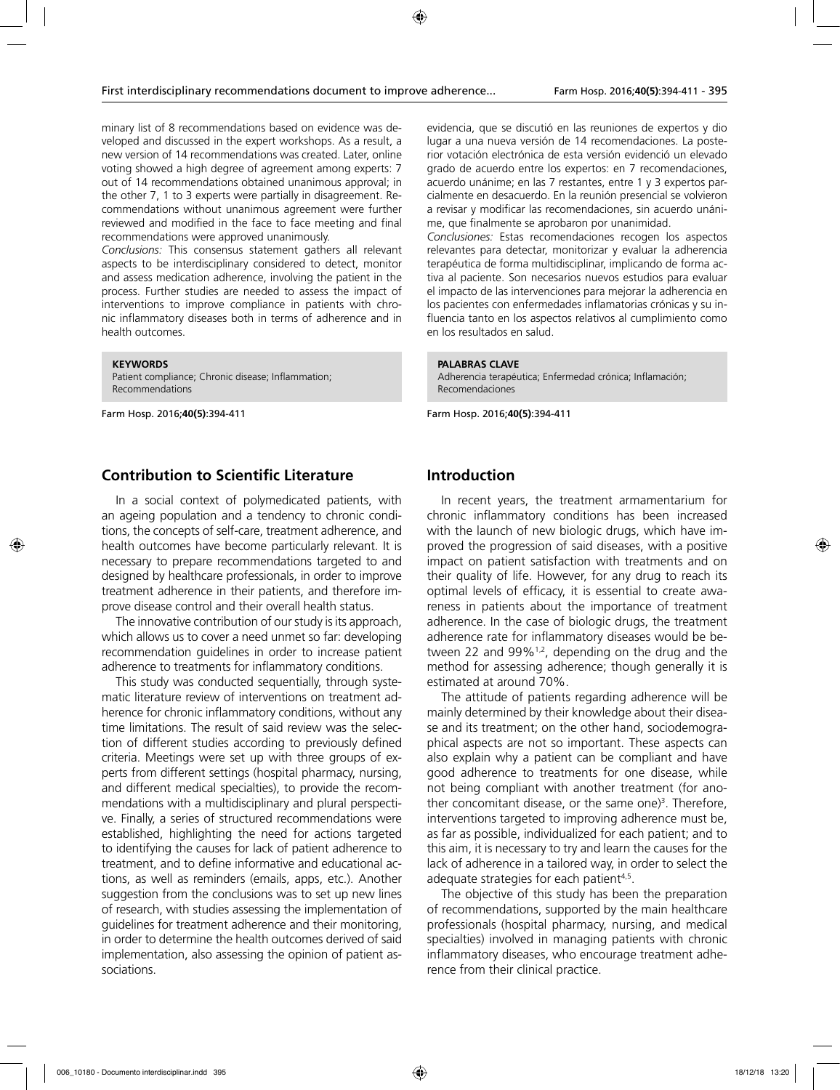minary list of 8 recommendations based on evidence was developed and discussed in the expert workshops. As a result, a new version of 14 recommendations was created. Later, online voting showed a high degree of agreement among experts: 7 out of 14 recommendations obtained unanimous approval; in the other 7, 1 to 3 experts were partially in disagreement. Recommendations without unanimous agreement were further reviewed and modified in the face to face meeting and final recommendations were approved unanimously.

*Conclusions:* This consensus statement gathers all relevant aspects to be interdisciplinary considered to detect, monitor and assess medication adherence, involving the patient in the process. Further studies are needed to assess the impact of interventions to improve compliance in patients with chronic inflammatory diseases both in terms of adherence and in health outcomes.

**KEYWORDS** Patient compliance; Chronic disease; Inflammation;

Farm Hosp. 2016;**40(5)**:394-411

Recommendations

## **Contribution to Scientific Literature**

In a social context of polymedicated patients, with an ageing population and a tendency to chronic conditions, the concepts of self-care, treatment adherence, and health outcomes have become particularly relevant. It is necessary to prepare recommendations targeted to and designed by healthcare professionals, in order to improve treatment adherence in their patients, and therefore improve disease control and their overall health status.

The innovative contribution of our study is its approach, which allows us to cover a need unmet so far: developing recommendation guidelines in order to increase patient adherence to treatments for inflammatory conditions.

This study was conducted sequentially, through systematic literature review of interventions on treatment adherence for chronic inflammatory conditions, without any time limitations. The result of said review was the selection of different studies according to previously defined criteria. Meetings were set up with three groups of experts from different settings (hospital pharmacy, nursing, and different medical specialties), to provide the recommendations with a multidisciplinary and plural perspective. Finally, a series of structured recommendations were established, highlighting the need for actions targeted to identifying the causes for lack of patient adherence to treatment, and to define informative and educational actions, as well as reminders (emails, apps, etc.). Another suggestion from the conclusions was to set up new lines of research, with studies assessing the implementation of guidelines for treatment adherence and their monitoring, in order to determine the health outcomes derived of said implementation, also assessing the opinion of patient associations.

evidencia, que se discutió en las reuniones de expertos y dio lugar a una nueva versión de 14 recomendaciones. La posterior votación electrónica de esta versión evidenció un elevado grado de acuerdo entre los expertos: en 7 recomendaciones, acuerdo unánime; en las 7 restantes, entre 1 y 3 expertos parcialmente en desacuerdo. En la reunión presencial se volvieron a revisar y modificar las recomendaciones, sin acuerdo unánime, que finalmente se aprobaron por unanimidad.

*Conclusiones:* Estas recomendaciones recogen los aspectos relevantes para detectar, monitorizar y evaluar la adherencia terapéutica de forma multidisciplinar, implicando de forma activa al paciente. Son necesarios nuevos estudios para evaluar el impacto de las intervenciones para mejorar la adherencia en los pacientes con enfermedades inflamatorias crónicas y su influencia tanto en los aspectos relativos al cumplimiento como en los resultados en salud.

#### **PALABRAS CLAVE**

Adherencia terapéutica; Enfermedad crónica; Inflamación; Recomendaciones

Farm Hosp. 2016;**40(5)**:394-411

### **Introduction**

In recent years, the treatment armamentarium for chronic inflammatory conditions has been increased with the launch of new biologic drugs, which have improved the progression of said diseases, with a positive impact on patient satisfaction with treatments and on their quality of life. However, for any drug to reach its optimal levels of efficacy, it is essential to create awareness in patients about the importance of treatment adherence. In the case of biologic drugs, the treatment adherence rate for inflammatory diseases would be between 22 and 99% $^{1,2}$ , depending on the drug and the method for assessing adherence; though generally it is estimated at around 70%.

The attitude of patients regarding adherence will be mainly determined by their knowledge about their disease and its treatment; on the other hand, sociodemographical aspects are not so important. These aspects can also explain why a patient can be compliant and have good adherence to treatments for one disease, while not being compliant with another treatment (for another concomitant disease, or the same one)<sup>3</sup>. Therefore, interventions targeted to improving adherence must be, as far as possible, individualized for each patient; and to this aim, it is necessary to try and learn the causes for the lack of adherence in a tailored way, in order to select the adequate strategies for each patient<sup>4,5</sup>.

The objective of this study has been the preparation of recommendations, supported by the main healthcare professionals (hospital pharmacy, nursing, and medical specialties) involved in managing patients with chronic inflammatory diseases, who encourage treatment adherence from their clinical practice.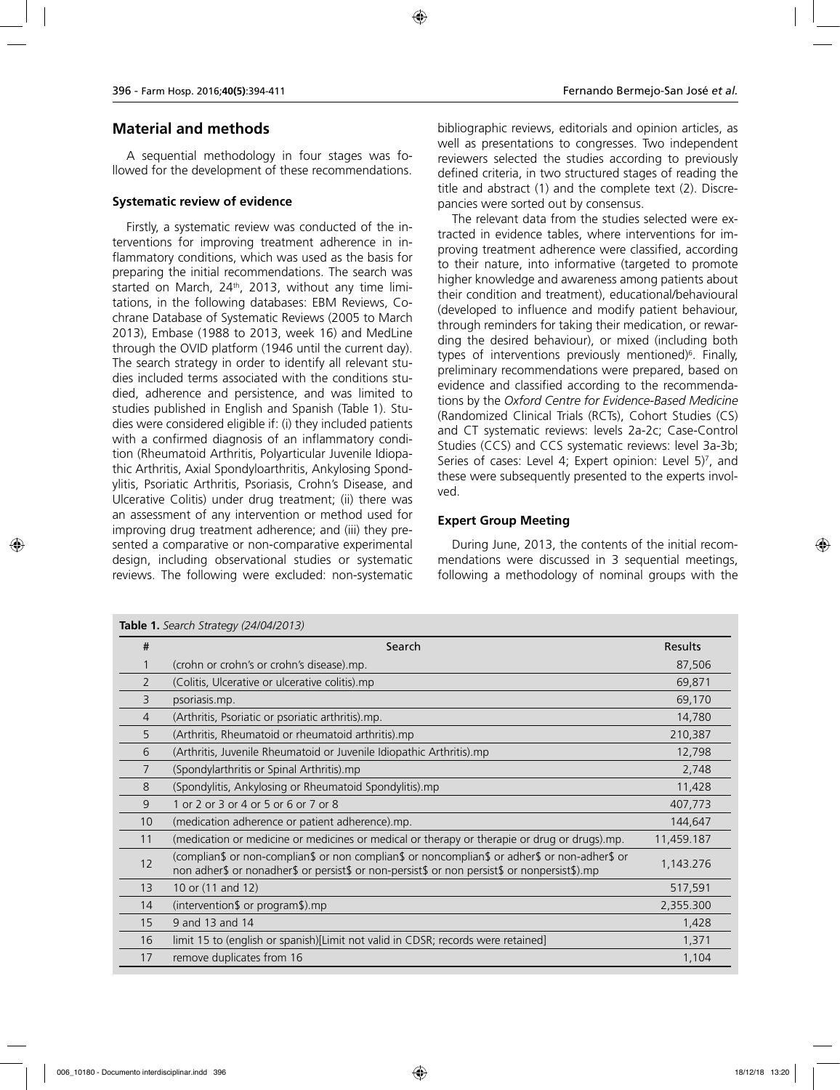# **Material and methods**

A sequential methodology in four stages was followed for the development of these recommendations.

#### **Systematic review of evidence**

**Table 1.** *Search Strategy (24/04/2013)*

Firstly, a systematic review was conducted of the interventions for improving treatment adherence in inflammatory conditions, which was used as the basis for preparing the initial recommendations. The search was started on March,  $24<sup>th</sup>$ , 2013, without any time limitations, in the following databases: EBM Reviews, Cochrane Database of Systematic Reviews (2005 to March 2013), Embase (1988 to 2013, week 16) and MedLine through the OVID platform (1946 until the current day). The search strategy in order to identify all relevant studies included terms associated with the conditions studied, adherence and persistence, and was limited to studies published in English and Spanish (Table 1). Studies were considered eligible if: (i) they included patients with a confirmed diagnosis of an inflammatory condition (Rheumatoid Arthritis, Polyarticular Juvenile Idiopathic Arthritis, Axial Spondyloarthritis, Ankylosing Spondylitis, Psoriatic Arthritis, Psoriasis, Crohn's Disease, and Ulcerative Colitis) under drug treatment; (ii) there was an assessment of any intervention or method used for improving drug treatment adherence; and (iii) they presented a comparative or non-comparative experimental design, including observational studies or systematic reviews. The following were excluded: non-systematic

bibliographic reviews, editorials and opinion articles, as well as presentations to congresses. Two independent reviewers selected the studies according to previously defined criteria, in two structured stages of reading the title and abstract (1) and the complete text (2). Discrepancies were sorted out by consensus.

The relevant data from the studies selected were extracted in evidence tables, where interventions for improving treatment adherence were classified, according to their nature, into informative (targeted to promote higher knowledge and awareness among patients about their condition and treatment), educational/behavioural (developed to influence and modify patient behaviour, through reminders for taking their medication, or rewarding the desired behaviour), or mixed (including both types of interventions previously mentioned)6 . Finally, preliminary recommendations were prepared, based on evidence and classified according to the recommendations by the *Oxford Centre for Evidence-Based Medicine* (Randomized Clinical Trials (RCTs), Cohort Studies (CS) and CT systematic reviews: levels 2a-2c; Case-Control Studies (CCS) and CCS systematic reviews: level 3a-3b; Series of cases: Level 4; Expert opinion: Level 5)7 , and these were subsequently presented to the experts involved.

### **Expert Group Meeting**

During June, 2013, the contents of the initial recommendations were discussed in 3 sequential meetings, following a methodology of nominal groups with the

| #              | Search                                                                                                                                                                                        | <b>Results</b> |
|----------------|-----------------------------------------------------------------------------------------------------------------------------------------------------------------------------------------------|----------------|
|                | (crohn or crohn's or crohn's disease).mp.                                                                                                                                                     | 87,506         |
| 2              | (Colitis, Ulcerative or ulcerative colitis).mp                                                                                                                                                | 69,871         |
| 3              | psoriasis.mp.                                                                                                                                                                                 | 69,170         |
| $\overline{4}$ | (Arthritis, Psoriatic or psoriatic arthritis).mp.                                                                                                                                             | 14,780         |
| 5              | (Arthritis, Rheumatoid or rheumatoid arthritis).mp                                                                                                                                            | 210,387        |
| 6              | (Arthritis, Juvenile Rheumatoid or Juvenile Idiopathic Arthritis).mp                                                                                                                          | 12,798         |
| 7              | (Spondylarthritis or Spinal Arthritis).mp                                                                                                                                                     | 2,748          |
| 8              | (Spondylitis, Ankylosing or Rheumatoid Spondylitis).mp                                                                                                                                        | 11,428         |
| 9              | 1 or 2 or 3 or 4 or 5 or 6 or 7 or 8                                                                                                                                                          | 407,773        |
| 10             | (medication adherence or patient adherence).mp.                                                                                                                                               | 144,647        |
| 11             | (medication or medicine or medicines or medical or therapy or therapie or drug or drugs).mp.                                                                                                  | 11,459.187     |
| 12             | (complian\$ or non-complian\$ or non complian\$ or noncomplian\$ or adher\$ or non-adher\$ or<br>non adher\$ or nonadher\$ or persist\$ or non-persist\$ or non persist\$ or nonpersist\$).mp | 1,143.276      |
| 13             | 10 or (11 and 12)                                                                                                                                                                             | 517,591        |
| 14             | (intervention $\sqrt{ }$ or program $\sqrt{ }$ ) mp                                                                                                                                           | 2,355.300      |
| 15             | 9 and 13 and 14                                                                                                                                                                               | 1,428          |
| 16             | limit 15 to (english or spanish)[Limit not valid in CDSR; records were retained]                                                                                                              | 1,371          |
| 17             | remove duplicates from 16                                                                                                                                                                     | 1,104          |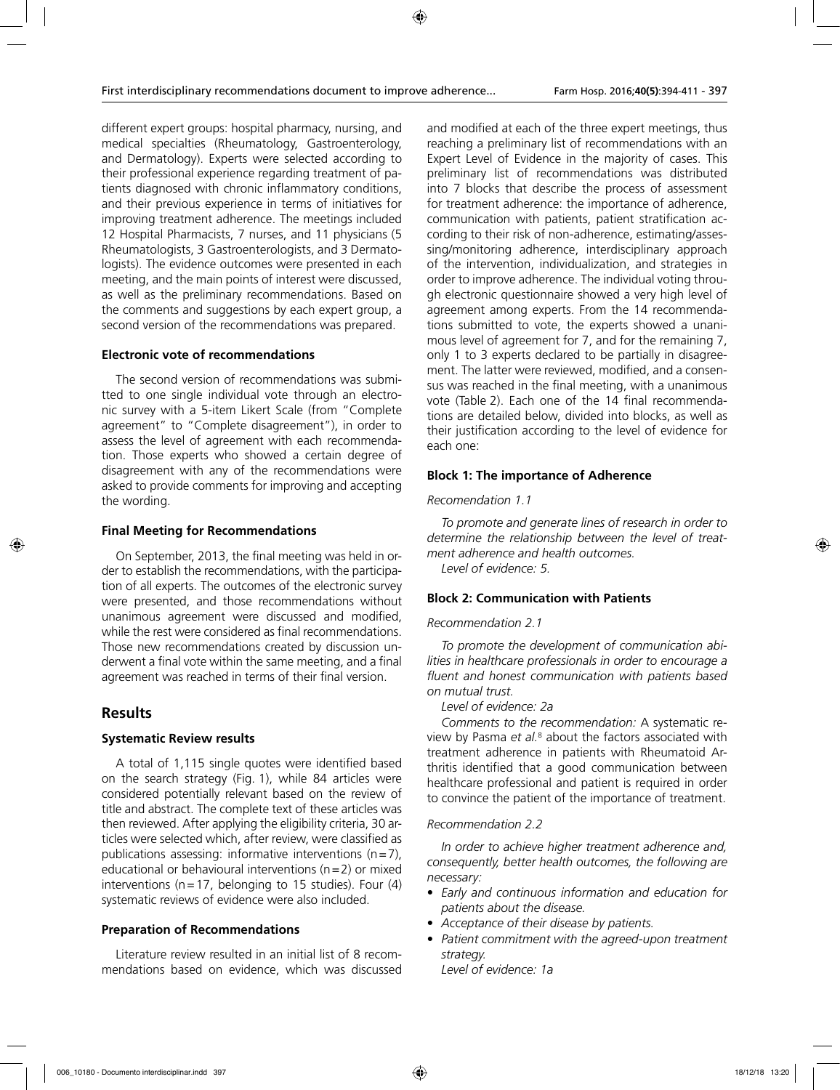different expert groups: hospital pharmacy, nursing, and medical specialties (Rheumatology, Gastroenterology, and Dermatology). Experts were selected according to their professional experience regarding treatment of patients diagnosed with chronic inflammatory conditions, and their previous experience in terms of initiatives for improving treatment adherence. The meetings included 12 Hospital Pharmacists, 7 nurses, and 11 physicians (5 Rheumatologists, 3 Gastroenterologists, and 3 Dermatologists). The evidence outcomes were presented in each meeting, and the main points of interest were discussed, as well as the preliminary recommendations. Based on the comments and suggestions by each expert group, a second version of the recommendations was prepared.

# **Electronic vote of recommendations**

The second version of recommendations was submitted to one single individual vote through an electronic survey with a 5-item Likert Scale (from "Complete agreement" to "Complete disagreement"), in order to assess the level of agreement with each recommendation. Those experts who showed a certain degree of disagreement with any of the recommendations were asked to provide comments for improving and accepting the wording.

# **Final Meeting for Recommendations**

On September, 2013, the final meeting was held in order to establish the recommendations, with the participation of all experts. The outcomes of the electronic survey were presented, and those recommendations without unanimous agreement were discussed and modified, while the rest were considered as final recommendations. Those new recommendations created by discussion underwent a final vote within the same meeting, and a final agreement was reached in terms of their final version.

# **Results**

# **Systematic Review results**

A total of 1,115 single quotes were identified based on the search strategy (Fig. 1), while 84 articles were considered potentially relevant based on the review of title and abstract. The complete text of these articles was then reviewed. After applying the eligibility criteria, 30 articles were selected which, after review, were classified as publications assessing: informative interventions  $(n=7)$ , educational or behavioural interventions ( $n=2$ ) or mixed interventions ( $n=17$ , belonging to 15 studies). Four (4) systematic reviews of evidence were also included.

# **Preparation of Recommendations**

Literature review resulted in an initial list of 8 recommendations based on evidence, which was discussed and modified at each of the three expert meetings, thus reaching a preliminary list of recommendations with an Expert Level of Evidence in the majority of cases. This preliminary list of recommendations was distributed into 7 blocks that describe the process of assessment for treatment adherence: the importance of adherence, communication with patients, patient stratification according to their risk of non-adherence, estimating/assessing/monitoring adherence, interdisciplinary approach of the intervention, individualization, and strategies in order to improve adherence. The individual voting through electronic questionnaire showed a very high level of agreement among experts. From the 14 recommendations submitted to vote, the experts showed a unanimous level of agreement for 7, and for the remaining 7, only 1 to 3 experts declared to be partially in disagreement. The latter were reviewed, modified, and a consensus was reached in the final meeting, with a unanimous vote (Table 2). Each one of the 14 final recommendations are detailed below, divided into blocks, as well as their justification according to the level of evidence for each one:

# **Block 1: The importance of Adherence**

# *Recomendation 1.1*

*To promote and generate lines of research in order to determine the relationship between the level of treatment adherence and health outcomes. Level of evidence: 5.*

# **Block 2: Communication with Patients**

# *Recommendation 2.1*

*To promote the development of communication abilities in healthcare professionals in order to encourage a fluent and honest communication with patients based on mutual trust.*

*Level of evidence: 2a*

*Comments to the recommendation:* A systematic review by Pasma et al.<sup>8</sup> about the factors associated with treatment adherence in patients with Rheumatoid Arthritis identified that a good communication between healthcare professional and patient is required in order to convince the patient of the importance of treatment.

# *Recommendation 2.2*

*In order to achieve higher treatment adherence and, consequently, better health outcomes, the following are necessary:*

- *Early and continuous information and education for patients about the disease.*
- *Acceptance of their disease by patients.*
- *Patient commitment with the agreed-upon treatment strategy.*

*Level of evidence: 1a*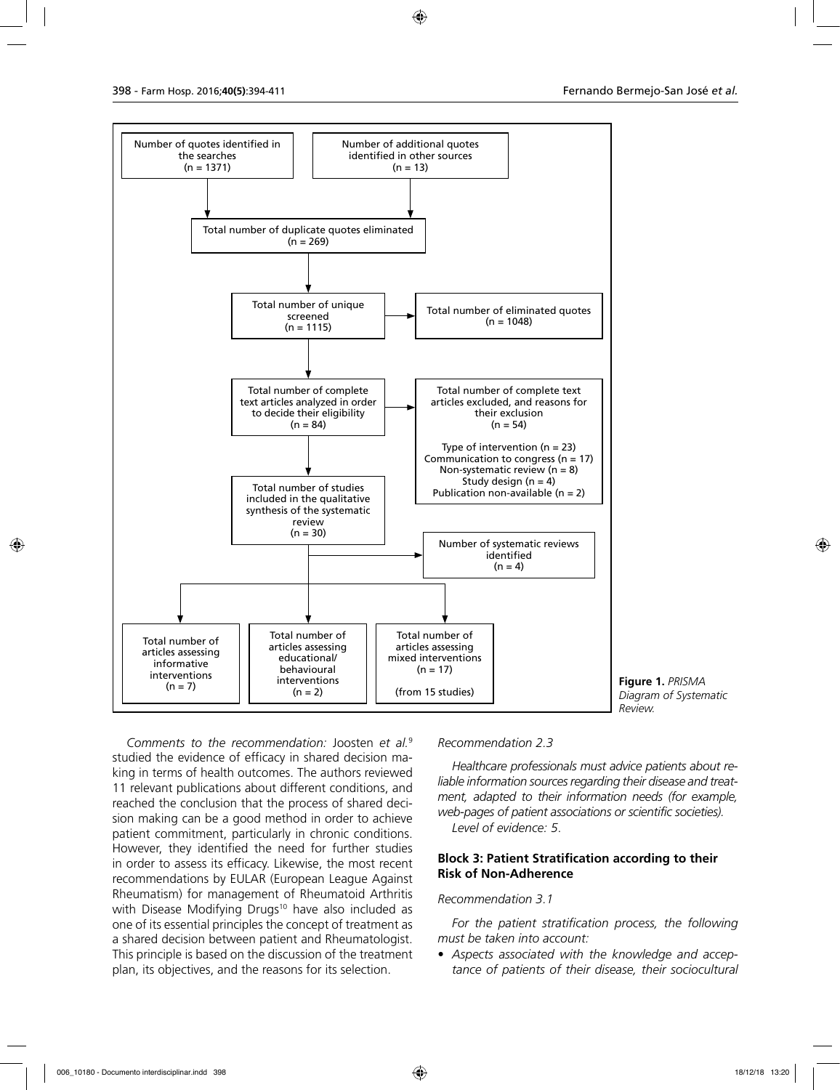

**Figure 1.** *PRISMA Diagram of Systematic Review.*

*Comments to the recommendation:* Joosten *et al.*<sup>9</sup> studied the evidence of efficacy in shared decision making in terms of health outcomes. The authors reviewed 11 relevant publications about different conditions, and reached the conclusion that the process of shared decision making can be a good method in order to achieve patient commitment, particularly in chronic conditions. However, they identified the need for further studies in order to assess its efficacy. Likewise, the most recent recommendations by EULAR (European League Against Rheumatism) for management of Rheumatoid Arthritis with Disease Modifying Drugs<sup>10</sup> have also included as one of its essential principles the concept of treatment as a shared decision between patient and Rheumatologist. This principle is based on the discussion of the treatment plan, its objectives, and the reasons for its selection.

*Recommendation 2.3*

*Healthcare professionals must advice patients about reliable information sources regarding their disease and treatment, adapted to their information needs (for example, web-pages of patient associations or scientific societies). Level of evidence: 5*.

### **Block 3: Patient Stratification according to their Risk of Non-Adherence**

#### *Recommendation 3.1*

*For the patient stratification process, the following must be taken into account:*

• *Aspects associated with the knowledge and acceptance of patients of their disease, their sociocultural*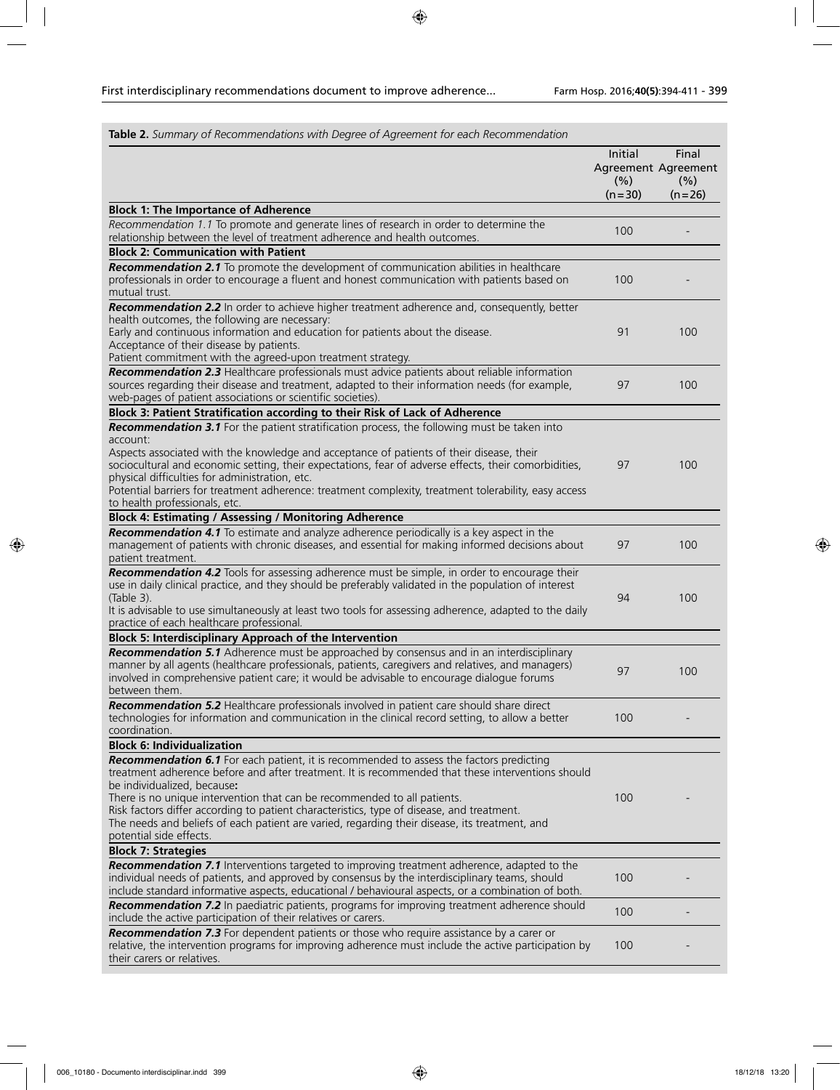| Table 2. Summary of Recommendations with Degree of Agreement for each Recommendation                                                                                                                                                                                                                                                                                                                                                                                                                                             |                             |                                                  |
|----------------------------------------------------------------------------------------------------------------------------------------------------------------------------------------------------------------------------------------------------------------------------------------------------------------------------------------------------------------------------------------------------------------------------------------------------------------------------------------------------------------------------------|-----------------------------|--------------------------------------------------|
|                                                                                                                                                                                                                                                                                                                                                                                                                                                                                                                                  | Initial<br>(% )<br>$(n=30)$ | Final<br>Agreement Agreement<br>(% )<br>$(n=26)$ |
| <b>Block 1: The Importance of Adherence</b>                                                                                                                                                                                                                                                                                                                                                                                                                                                                                      |                             |                                                  |
| Recommendation 1.1 To promote and generate lines of research in order to determine the<br>relationship between the level of treatment adherence and health outcomes.                                                                                                                                                                                                                                                                                                                                                             | 100                         |                                                  |
| <b>Block 2: Communication with Patient</b>                                                                                                                                                                                                                                                                                                                                                                                                                                                                                       |                             |                                                  |
| Recommendation 2.1 To promote the development of communication abilities in healthcare<br>professionals in order to encourage a fluent and honest communication with patients based on<br>mutual trust.                                                                                                                                                                                                                                                                                                                          | 100                         |                                                  |
| Recommendation 2.2 In order to achieve higher treatment adherence and, consequently, better<br>health outcomes, the following are necessary:<br>Early and continuous information and education for patients about the disease.<br>Acceptance of their disease by patients.<br>Patient commitment with the agreed-upon treatment strategy.                                                                                                                                                                                        | 91                          | 100                                              |
| Recommendation 2.3 Healthcare professionals must advice patients about reliable information<br>sources regarding their disease and treatment, adapted to their information needs (for example,<br>web-pages of patient associations or scientific societies).                                                                                                                                                                                                                                                                    | 97                          | 100                                              |
| Block 3: Patient Stratification according to their Risk of Lack of Adherence                                                                                                                                                                                                                                                                                                                                                                                                                                                     |                             |                                                  |
| Recommendation 3.1 For the patient stratification process, the following must be taken into<br>account:<br>Aspects associated with the knowledge and acceptance of patients of their disease, their<br>sociocultural and economic setting, their expectations, fear of adverse effects, their comorbidities,<br>physical difficulties for administration, etc.<br>Potential barriers for treatment adherence: treatment complexity, treatment tolerability, easy access<br>to health professionals, etc.                         | 97                          | 100                                              |
| <b>Block 4: Estimating / Assessing / Monitoring Adherence</b>                                                                                                                                                                                                                                                                                                                                                                                                                                                                    |                             |                                                  |
| Recommendation 4.1 To estimate and analyze adherence periodically is a key aspect in the<br>management of patients with chronic diseases, and essential for making informed decisions about<br>patient treatment.                                                                                                                                                                                                                                                                                                                | 97                          | 100                                              |
| Recommendation 4.2 Tools for assessing adherence must be simple, in order to encourage their<br>use in daily clinical practice, and they should be preferably validated in the population of interest<br>(Table 3).<br>It is advisable to use simultaneously at least two tools for assessing adherence, adapted to the daily<br>practice of each healthcare professional.                                                                                                                                                       | 94                          | 100                                              |
| <b>Block 5: Interdisciplinary Approach of the Intervention</b>                                                                                                                                                                                                                                                                                                                                                                                                                                                                   |                             |                                                  |
| Recommendation 5.1 Adherence must be approached by consensus and in an interdisciplinary<br>manner by all agents (healthcare professionals, patients, caregivers and relatives, and managers)<br>involved in comprehensive patient care; it would be advisable to encourage dialogue forums<br>between them.                                                                                                                                                                                                                     | 97                          | 100                                              |
| Recommendation 5.2 Healthcare professionals involved in patient care should share direct<br>technologies for information and communication in the clinical record setting, to allow a better<br>coordination.                                                                                                                                                                                                                                                                                                                    | 100                         |                                                  |
| <b>Block 6: Individualization</b>                                                                                                                                                                                                                                                                                                                                                                                                                                                                                                |                             |                                                  |
| Recommendation 6.1 For each patient, it is recommended to assess the factors predicting<br>treatment adherence before and after treatment. It is recommended that these interventions should<br>be individualized, because:<br>There is no unique intervention that can be recommended to all patients.<br>Risk factors differ according to patient characteristics, type of disease, and treatment.<br>The needs and beliefs of each patient are varied, regarding their disease, its treatment, and<br>potential side effects. | 100                         |                                                  |
| <b>Block 7: Strategies</b>                                                                                                                                                                                                                                                                                                                                                                                                                                                                                                       |                             |                                                  |
| Recommendation 7.1 Interventions targeted to improving treatment adherence, adapted to the<br>individual needs of patients, and approved by consensus by the interdisciplinary teams, should<br>include standard informative aspects, educational / behavioural aspects, or a combination of both.                                                                                                                                                                                                                               | 100                         |                                                  |
| Recommendation 7.2 In paediatric patients, programs for improving treatment adherence should<br>include the active participation of their relatives or carers.                                                                                                                                                                                                                                                                                                                                                                   | 100                         |                                                  |
| Recommendation 7.3 For dependent patients or those who require assistance by a carer or<br>relative, the intervention programs for improving adherence must include the active participation by<br>their carers or relatives.                                                                                                                                                                                                                                                                                                    | 100                         |                                                  |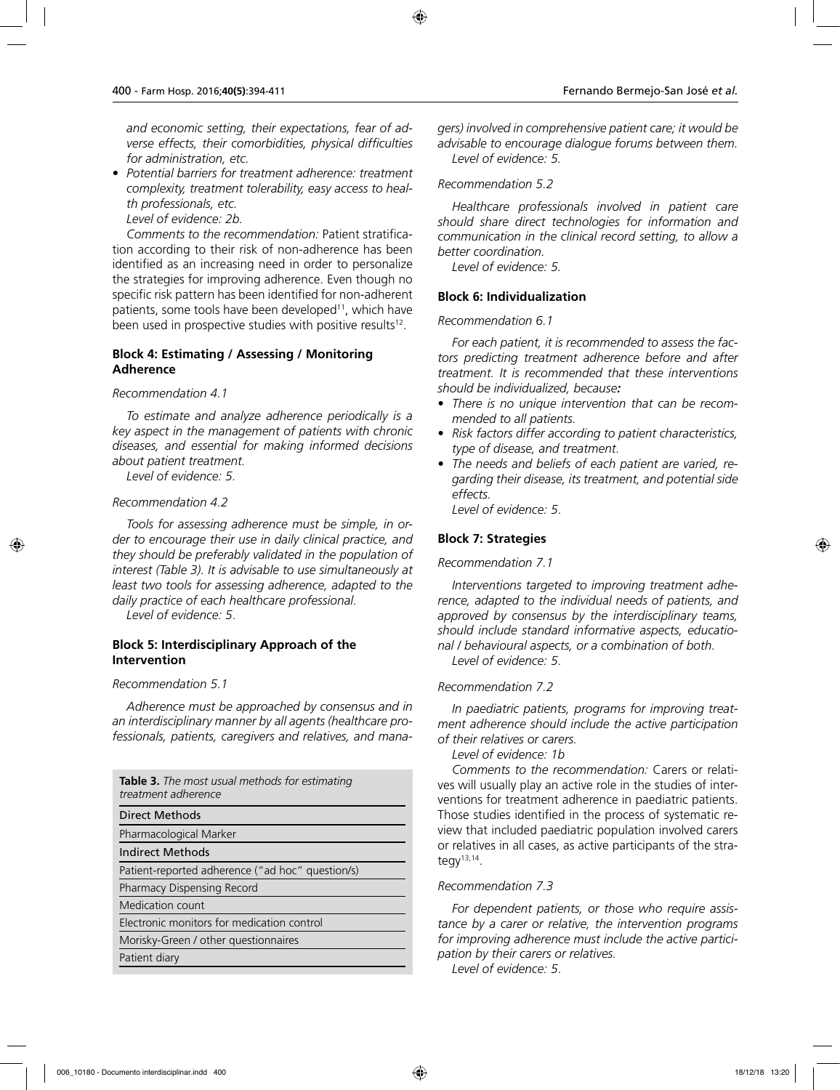*and economic setting, their expectations, fear of adverse effects, their comorbidities, physical difficulties for administration, etc.*

• *Potential barriers for treatment adherence: treatment complexity, treatment tolerability, easy access to health professionals, etc.*

*Level of evidence: 2b.*

*Comments to the recommendation:* Patient stratification according to their risk of non-adherence has been identified as an increasing need in order to personalize the strategies for improving adherence. Even though no specific risk pattern has been identified for non-adherent patients, some tools have been developed<sup>11</sup>, which have been used in prospective studies with positive results<sup>12</sup>.

## **Block 4: Estimating / Assessing / Monitoring Adherence**

#### *Recommendation 4.1*

*To estimate and analyze adherence periodically is a key aspect in the management of patients with chronic diseases, and essential for making informed decisions about patient treatment.*

*Level of evidence: 5.*

#### *Recommendation 4.2*

*Tools for assessing adherence must be simple, in order to encourage their use in daily clinical practice, and they should be preferably validated in the population of interest (Table 3). It is advisable to use simultaneously at least two tools for assessing adherence, adapted to the daily practice of each healthcare professional.*

*Level of evidence: 5*.

## **Block 5: Interdisciplinary Approach of the Intervention**

#### *Recommendation 5.1*

*Adherence must be approached by consensus and in an interdisciplinary manner by all agents (healthcare professionals, patients, caregivers and relatives, and mana-*

| <b>Table 3.</b> The most usual methods for estimating<br>treatment adherence |
|------------------------------------------------------------------------------|
| <b>Direct Methods</b>                                                        |
| Pharmacological Marker                                                       |
| Indirect Methods                                                             |
| Patient-reported adherence ("ad hoc" question/s)                             |
| Pharmacy Dispensing Record                                                   |
| Medication count                                                             |
| Electronic monitors for medication control                                   |
| Morisky-Green / other questionnaires                                         |
| Patient diary                                                                |

*gers) involved in comprehensive patient care; it would be advisable to encourage dialogue forums between them. Level of evidence: 5.*

### *Recommendation 5.2*

*Healthcare professionals involved in patient care should share direct technologies for information and communication in the clinical record setting, to allow a better coordination.*

*Level of evidence: 5.*

### **Block 6: Individualization**

### *Recommendation 6.1*

*For each patient, it is recommended to assess the factors predicting treatment adherence before and after treatment. It is recommended that these interventions should be individualized, because:*

- *There is no unique intervention that can be recommended to all patients.*
- *Risk factors differ according to patient characteristics, type of disease, and treatment.*
- *The needs and beliefs of each patient are varied, regarding their disease, its treatment, and potential side effects.*

*Level of evidence: 5*.

## **Block 7: Strategies**

### *Recommendation 7.1*

*Interventions targeted to improving treatment adherence, adapted to the individual needs of patients, and approved by consensus by the interdisciplinary teams, should include standard informative aspects, educational / behavioural aspects, or a combination of both. Level of evidence: 5*.

### *Recommendation 7.2*

*In paediatric patients, programs for improving treatment adherence should include the active participation of their relatives or carers.*

*Level of evidence: 1b*

*Comments to the recommendation:* Carers or relatives will usually play an active role in the studies of interventions for treatment adherence in paediatric patients. Those studies identified in the process of systematic review that included paediatric population involved carers or relatives in all cases, as active participants of the strategy $13,14$ .

### *Recommendation 7.3*

*For dependent patients, or those who require assistance by a carer or relative, the intervention programs for improving adherence must include the active participation by their carers or relatives.*

*Level of evidence: 5*.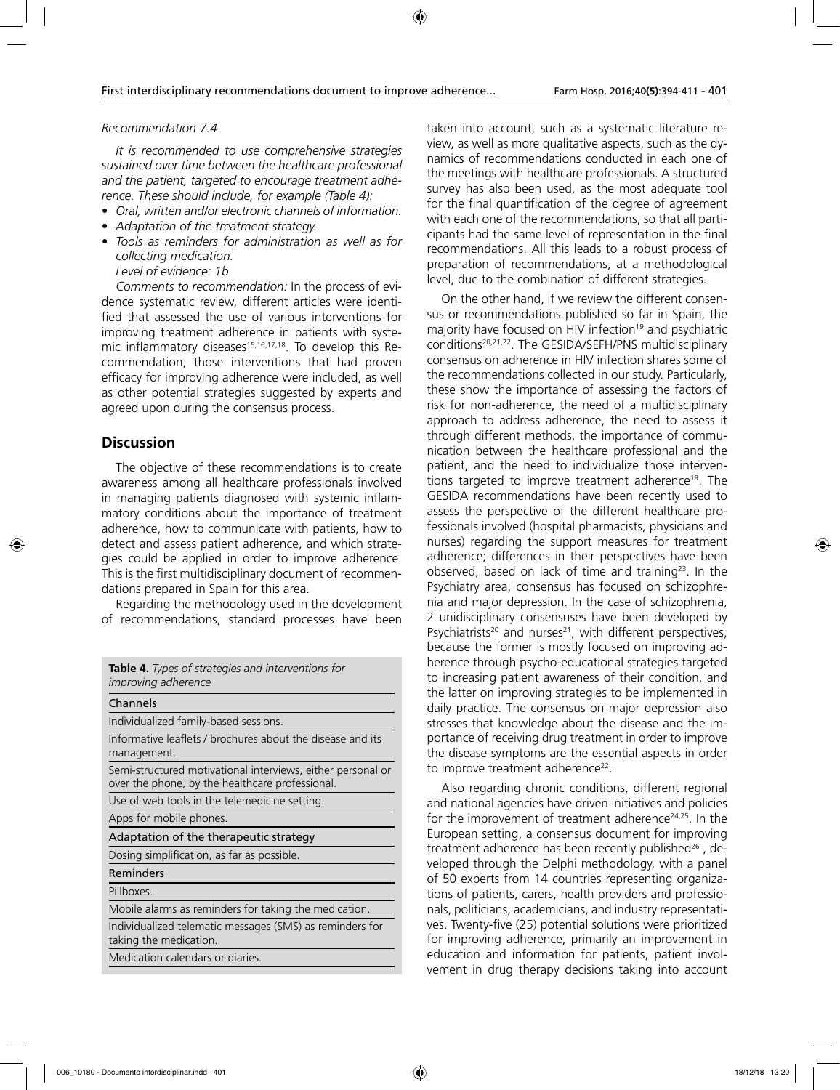#### *Recommendation 7.4*

*It is recommended to use comprehensive strategies sustained over time between the healthcare professional and the patient, targeted to encourage treatment adherence. These should include, for example (Table 4):*

- *Oral, written and/or electronic channels of information.*
- *Adaptation of the treatment strategy.*
- *Tools as reminders for administration as well as for collecting medication.*

*Level of evidence: 1b*

*Comments to recommendation:* In the process of evidence systematic review, different articles were identified that assessed the use of various interventions for improving treatment adherence in patients with systemic inflammatory diseases<sup>15,16,17,18</sup>. To develop this Recommendation, those interventions that had proven efficacy for improving adherence were included, as well as other potential strategies suggested by experts and agreed upon during the consensus process.

# **Discussion**

The objective of these recommendations is to create awareness among all healthcare professionals involved in managing patients diagnosed with systemic inflammatory conditions about the importance of treatment adherence, how to communicate with patients, how to detect and assess patient adherence, and which strategies could be applied in order to improve adherence. This is the first multidisciplinary document of recommendations prepared in Spain for this area.

Regarding the methodology used in the development of recommendations, standard processes have been

| <b>Table 4.</b> Types of strategies and interventions for<br><i>improving adherence</i>                        |
|----------------------------------------------------------------------------------------------------------------|
| Channels                                                                                                       |
| Individualized family-based sessions.                                                                          |
| Informative leaflets / brochures about the disease and its<br>management.                                      |
| Semi-structured motivational interviews, either personal or<br>over the phone, by the healthcare professional. |
| Use of web tools in the telemedicine setting.                                                                  |
| Apps for mobile phones.                                                                                        |
| Adaptation of the therapeutic strategy                                                                         |
| Dosing simplification, as far as possible.                                                                     |
| Reminders                                                                                                      |
| Pillboxes.                                                                                                     |
| Mobile alarms as reminders for taking the medication.                                                          |
| Individualized telematic messages (SMS) as reminders for<br>taking the medication.                             |
| Medication calendars or diaries.                                                                               |
|                                                                                                                |

taken into account, such as a systematic literature review, as well as more qualitative aspects, such as the dynamics of recommendations conducted in each one of the meetings with healthcare professionals. A structured survey has also been used, as the most adequate tool for the final quantification of the degree of agreement with each one of the recommendations, so that all participants had the same level of representation in the final recommendations. All this leads to a robust process of preparation of recommendations, at a methodological level, due to the combination of different strategies.

On the other hand, if we review the different consensus or recommendations published so far in Spain, the majority have focused on HIV infection<sup>19</sup> and psychiatric conditions20,21,22. The GESIDA/SEFH/PNS multidisciplinary consensus on adherence in HIV infection shares some of the recommendations collected in our study. Particularly, these show the importance of assessing the factors of risk for non-adherence, the need of a multidisciplinary approach to address adherence, the need to assess it through different methods, the importance of communication between the healthcare professional and the patient, and the need to individualize those interventions targeted to improve treatment adherence<sup>19</sup>. The GESIDA recommendations have been recently used to assess the perspective of the different healthcare professionals involved (hospital pharmacists, physicians and nurses) regarding the support measures for treatment adherence; differences in their perspectives have been observed, based on lack of time and training $23$ . In the Psychiatry area, consensus has focused on schizophrenia and major depression. In the case of schizophrenia, 2 unidisciplinary consensuses have been developed by Psychiatrists<sup>20</sup> and nurses<sup>21</sup>, with different perspectives, because the former is mostly focused on improving adherence through psycho-educational strategies targeted to increasing patient awareness of their condition, and the latter on improving strategies to be implemented in daily practice. The consensus on major depression also stresses that knowledge about the disease and the importance of receiving drug treatment in order to improve the disease symptoms are the essential aspects in order to improve treatment adherence<sup>22</sup>.

Also regarding chronic conditions, different regional and national agencies have driven initiatives and policies for the improvement of treatment adherence<sup>24,25</sup>. In the European setting, a consensus document for improving treatment adherence has been recently published<sup>26</sup>, developed through the Delphi methodology, with a panel of 50 experts from 14 countries representing organizations of patients, carers, health providers and professionals, politicians, academicians, and industry representatives. Twenty-five (25) potential solutions were prioritized for improving adherence, primarily an improvement in education and information for patients, patient involvement in drug therapy decisions taking into account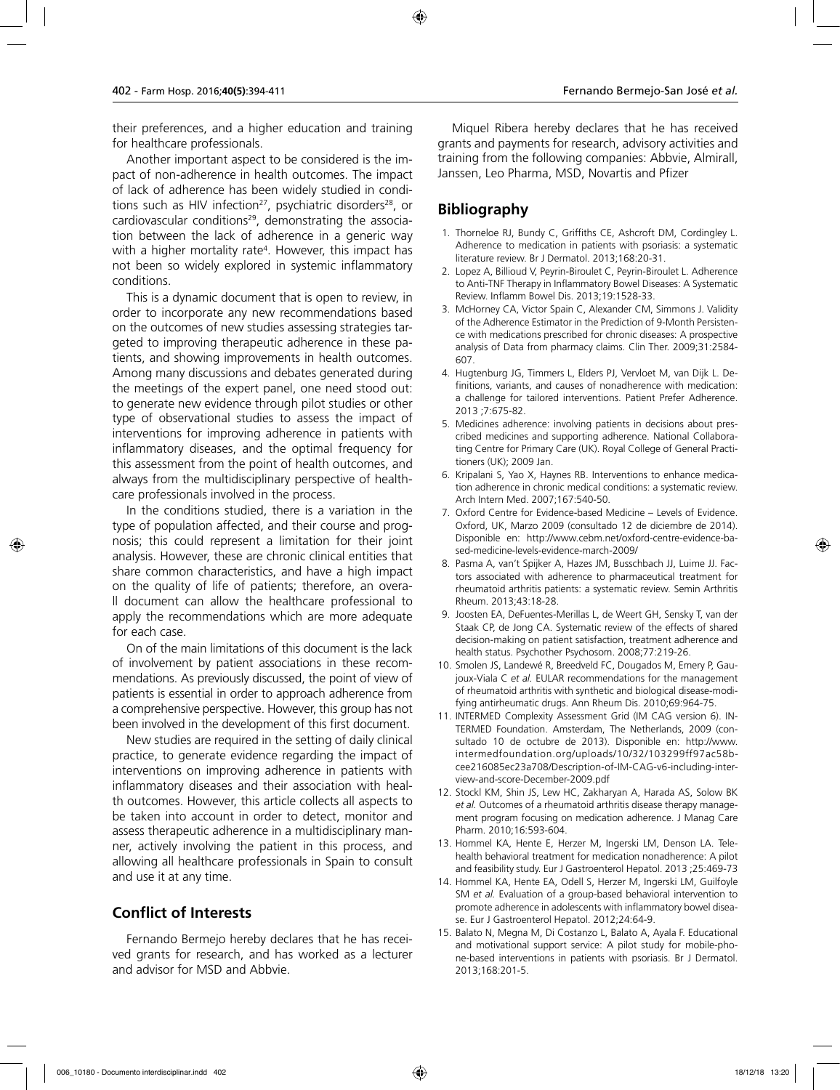their preferences, and a higher education and training for healthcare professionals.

Another important aspect to be considered is the impact of non-adherence in health outcomes. The impact of lack of adherence has been widely studied in conditions such as HIV infection<sup>27</sup>, psychiatric disorders<sup>28</sup>, or cardiovascular conditions<sup>29</sup>, demonstrating the association between the lack of adherence in a generic way with a higher mortality rate4 . However, this impact has not been so widely explored in systemic inflammatory conditions.

This is a dynamic document that is open to review, in order to incorporate any new recommendations based on the outcomes of new studies assessing strategies targeted to improving therapeutic adherence in these patients, and showing improvements in health outcomes. Among many discussions and debates generated during the meetings of the expert panel, one need stood out: to generate new evidence through pilot studies or other type of observational studies to assess the impact of interventions for improving adherence in patients with inflammatory diseases, and the optimal frequency for this assessment from the point of health outcomes, and always from the multidisciplinary perspective of healthcare professionals involved in the process.

In the conditions studied, there is a variation in the type of population affected, and their course and prognosis; this could represent a limitation for their joint analysis. However, these are chronic clinical entities that share common characteristics, and have a high impact on the quality of life of patients; therefore, an overall document can allow the healthcare professional to apply the recommendations which are more adequate for each case.

On of the main limitations of this document is the lack of involvement by patient associations in these recommendations. As previously discussed, the point of view of patients is essential in order to approach adherence from a comprehensive perspective. However, this group has not been involved in the development of this first document.

New studies are required in the setting of daily clinical practice, to generate evidence regarding the impact of interventions on improving adherence in patients with inflammatory diseases and their association with health outcomes. However, this article collects all aspects to be taken into account in order to detect, monitor and assess therapeutic adherence in a multidisciplinary manner, actively involving the patient in this process, and allowing all healthcare professionals in Spain to consult and use it at any time.

# **Conflict of Interests**

Fernando Bermejo hereby declares that he has received grants for research, and has worked as a lecturer and advisor for MSD and Abbvie.

Miquel Ribera hereby declares that he has received grants and payments for research, advisory activities and training from the following companies: Abbvie, Almirall, Janssen, Leo Pharma, MSD, Novartis and Pfizer

# **Bibliography**

- 1. Thorneloe RJ, Bundy C, Griffiths CE, Ashcroft DM, Cordingley L. Adherence to medication in patients with psoriasis: a systematic literature review. Br J Dermatol. 2013;168:20-31.
- 2. Lopez A, Billioud V, Peyrin-Biroulet C, Peyrin-Biroulet L. Adherence to Anti-TNF Therapy in Inflammatory Bowel Diseases: A Systematic Review. Inflamm Bowel Dis. 2013;19:1528-33.
- 3. McHorney CA, Victor Spain C, Alexander CM, Simmons J. Validity of the Adherence Estimator in the Prediction of 9-Month Persistence with medications prescribed for chronic diseases: A prospective analysis of Data from pharmacy claims. Clin Ther. 2009;31:2584- 607.
- 4. Hugtenburg JG, Timmers L, Elders PJ, Vervloet M, van Dijk L. Definitions, variants, and causes of nonadherence with medication: a challenge for tailored interventions. Patient Prefer Adherence. 2013 ;7:675-82.
- 5. Medicines adherence: involving patients in decisions about prescribed medicines and supporting adherence. National Collaborating Centre for Primary Care (UK). Royal College of General Practitioners (UK); 2009 Jan.
- 6. Kripalani S, Yao X, Haynes RB. Interventions to enhance medication adherence in chronic medical conditions: a systematic review. Arch Intern Med. 2007;167:540-50.
- 7. Oxford Centre for Evidence-based Medicine Levels of Evidence. Oxford, UK, Marzo 2009 (consultado 12 de diciembre de 2014). Disponible en: http://www.cebm.net/oxford-centre-evidence-based-medicine-levels-evidence-march-2009/
- 8. Pasma A, van't Spijker A, Hazes JM, Busschbach JJ, Luime JJ. Factors associated with adherence to pharmaceutical treatment for rheumatoid arthritis patients: a systematic review. Semin Arthritis Rheum. 2013;43:18-28.
- 9. Joosten EA, DeFuentes-Merillas L, de Weert GH, Sensky T, van der Staak CP, de Jong CA. Systematic review of the effects of shared decision-making on patient satisfaction, treatment adherence and health status. Psychother Psychosom. 2008;77:219-26.
- 10. Smolen JS, Landewé R, Breedveld FC, Dougados M, Emery P, Gaujoux-Viala C *et al.* EULAR recommendations for the management of rheumatoid arthritis with synthetic and biological disease-modifying antirheumatic drugs. Ann Rheum Dis. 2010;69:964-75.
- 11. INTERMED Complexity Assessment Grid (IM CAG version 6). IN-TERMED Foundation. Amsterdam, The Netherlands, 2009 (consultado 10 de octubre de 2013). Disponible en: http://www. intermedfoundation.org/uploads/10/32/103299ff97ac58bcee216085ec23a708/Description-of-IM-CAG-v6-including-interview-and-score-December-2009.pdf
- 12. Stockl KM, Shin JS, Lew HC, Zakharyan A, Harada AS, Solow BK *et al.* Outcomes of a rheumatoid arthritis disease therapy management program focusing on medication adherence. J Manag Care Pharm. 2010;16:593-604.
- 13. Hommel KA, Hente E, Herzer M, Ingerski LM, Denson LA. Telehealth behavioral treatment for medication nonadherence: A pilot and feasibility study. Eur J Gastroenterol Hepatol. 2013 ;25:469-73
- 14. Hommel KA, Hente EA, Odell S, Herzer M, Ingerski LM, Guilfoyle SM *et al.* Evaluation of a group-based behavioral intervention to promote adherence in adolescents with inflammatory bowel disease. Eur J Gastroenterol Hepatol. 2012;24:64-9.
- 15. Balato N, Megna M, Di Costanzo L, Balato A, Ayala F. Educational and motivational support service: A pilot study for mobile-phone-based interventions in patients with psoriasis. Br J Dermatol. 2013;168:201-5.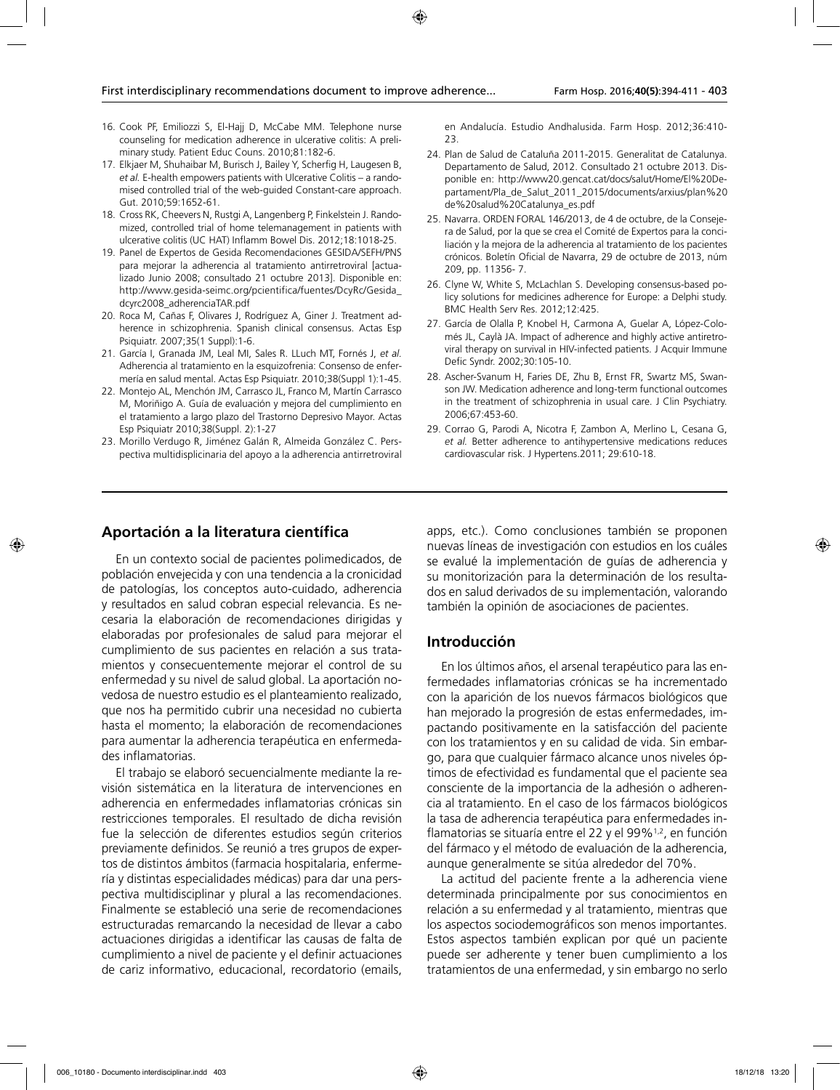- 16. Cook PF, Emiliozzi S, El-Hajj D, McCabe MM. Telephone nurse counseling for medication adherence in ulcerative colitis: A preliminary study. Patient Educ Couns. 2010;81:182-6.
- 17. Elkjaer M, Shuhaibar M, Burisch J, Bailey Y, Scherfig H, Laugesen B, *et al.* E-health empowers patients with Ulcerative Colitis – a randomised controlled trial of the web-guided Constant-care approach. Gut. 2010;59:1652-61.
- 18. Cross RK, Cheevers N, Rustgi A, Langenberg P, Finkelstein J. Randomized, controlled trial of home telemanagement in patients with ulcerative colitis (UC HAT) Inflamm Bowel Dis. 2012;18:1018-25.
- 19. Panel de Expertos de Gesida Recomendaciones GESIDA/SEFH/PNS para mejorar la adherencia al tratamiento antirretroviral [actualizado Junio 2008; consultado 21 octubre 2013]. Disponible en: http://www.gesida-seimc.org/pcientifica/fuentes/DcyRc/Gesida\_ dcyrc2008\_adherenciaTAR.pdf
- 20. Roca M, Cañas F, Olivares J, Rodríguez A, Giner J. Treatment adherence in schizophrenia. Spanish clinical consensus. Actas Esp Psiquiatr. 2007;35(1 Suppl):1-6.
- 21. García I, Granada JM, Leal MI, Sales R. LLuch MT, Fornés J, *et al.* Adherencia al tratamiento en la esquizofrenia: Consenso de enfermería en salud mental. Actas Esp Psiquiatr. 2010;38(Suppl 1):1-45.
- 22. Montejo AL, Menchón JM, Carrasco JL, Franco M, Martín Carrasco M, Moriñigo A. Guía de evaluación y mejora del cumplimiento en el tratamiento a largo plazo del Trastorno Depresivo Mayor. Actas Esp Psiquiatr 2010;38(Suppl. 2):1-27
- 23. Morillo Verdugo R, Jiménez Galán R, Almeida González C. Perspectiva multidisplicinaria del apoyo a la adherencia antirretroviral

en Andalucía. Estudio Andhalusida. Farm Hosp. 2012;36:410- 23.

- 24. Plan de Salud de Cataluña 2011-2015. Generalitat de Catalunya. Departamento de Salud, 2012. Consultado 21 octubre 2013. Disponible en: http://www20.gencat.cat/docs/salut/Home/El%20Departament/Pla\_de\_Salut\_2011\_2015/documents/arxius/plan%20 de%20salud%20Catalunya\_es.pdf
- 25. Navarra. ORDEN FORAL 146/2013, de 4 de octubre, de la Consejera de Salud, por la que se crea el Comité de Expertos para la conciliación y la mejora de la adherencia al tratamiento de los pacientes crónicos. Boletín Oficial de Navarra, 29 de octubre de 2013, núm 209, pp. 11356- 7.
- 26. Clyne W, White S, McLachlan S. Developing consensus-based policy solutions for medicines adherence for Europe: a Delphi study. BMC Health Serv Res. 2012;12:425.
- 27. García de Olalla P, Knobel H, Carmona A, Guelar A, López-Colomés JL, Caylà JA. Impact of adherence and highly active antiretroviral therapy on survival in HIV-infected patients. J Acquir Immune Defic Syndr. 2002;30:105-10.
- 28. Ascher-Svanum H, Faries DE, Zhu B, Ernst FR, Swartz MS, Swanson JW. Medication adherence and long-term functional outcomes in the treatment of schizophrenia in usual care. J Clin Psychiatry. 2006;67:453-60.
- 29. Corrao G, Parodi A, Nicotra F, Zambon A, Merlino L, Cesana G, *et al.* Better adherence to antihypertensive medications reduces cardiovascular risk. J Hypertens.2011; 29:610-18.

# **Aportación a la literatura científica**

En un contexto social de pacientes polimedicados, de población envejecida y con una tendencia a la cronicidad de patologías, los conceptos auto-cuidado, adherencia y resultados en salud cobran especial relevancia. Es necesaria la elaboración de recomendaciones dirigidas y elaboradas por profesionales de salud para mejorar el cumplimiento de sus pacientes en relación a sus tratamientos y consecuentemente mejorar el control de su enfermedad y su nivel de salud global. La aportación novedosa de nuestro estudio es el planteamiento realizado, que nos ha permitido cubrir una necesidad no cubierta hasta el momento; la elaboración de recomendaciones para aumentar la adherencia terapéutica en enfermedades inflamatorias.

El trabajo se elaboró secuencialmente mediante la revisión sistemática en la literatura de intervenciones en adherencia en enfermedades inflamatorias crónicas sin restricciones temporales. El resultado de dicha revisión fue la selección de diferentes estudios según criterios previamente definidos. Se reunió a tres grupos de expertos de distintos ámbitos (farmacia hospitalaria, enfermería y distintas especialidades médicas) para dar una perspectiva multidisciplinar y plural a las recomendaciones. Finalmente se estableció una serie de recomendaciones estructuradas remarcando la necesidad de llevar a cabo actuaciones dirigidas a identificar las causas de falta de cumplimiento a nivel de paciente y el definir actuaciones de cariz informativo, educacional, recordatorio (emails,

apps, etc.). Como conclusiones también se proponen nuevas líneas de investigación con estudios en los cuáles se evalué la implementación de guías de adherencia y su monitorización para la determinación de los resultados en salud derivados de su implementación, valorando también la opinión de asociaciones de pacientes.

### **Introducción**

En los últimos años, el arsenal terapéutico para las enfermedades inflamatorias crónicas se ha incrementado con la aparición de los nuevos fármacos biológicos que han mejorado la progresión de estas enfermedades, impactando positivamente en la satisfacción del paciente con los tratamientos y en su calidad de vida. Sin embargo, para que cualquier fármaco alcance unos niveles óptimos de efectividad es fundamental que el paciente sea consciente de la importancia de la adhesión o adherencia al tratamiento. En el caso de los fármacos biológicos la tasa de adherencia terapéutica para enfermedades inflamatorias se situaría entre el 22 y el 99%1,2, en función del fármaco y el método de evaluación de la adherencia, aunque generalmente se sitúa alrededor del 70%.

La actitud del paciente frente a la adherencia viene determinada principalmente por sus conocimientos en relación a su enfermedad y al tratamiento, mientras que los aspectos sociodemográficos son menos importantes. Estos aspectos también explican por qué un paciente puede ser adherente y tener buen cumplimiento a los tratamientos de una enfermedad, y sin embargo no serlo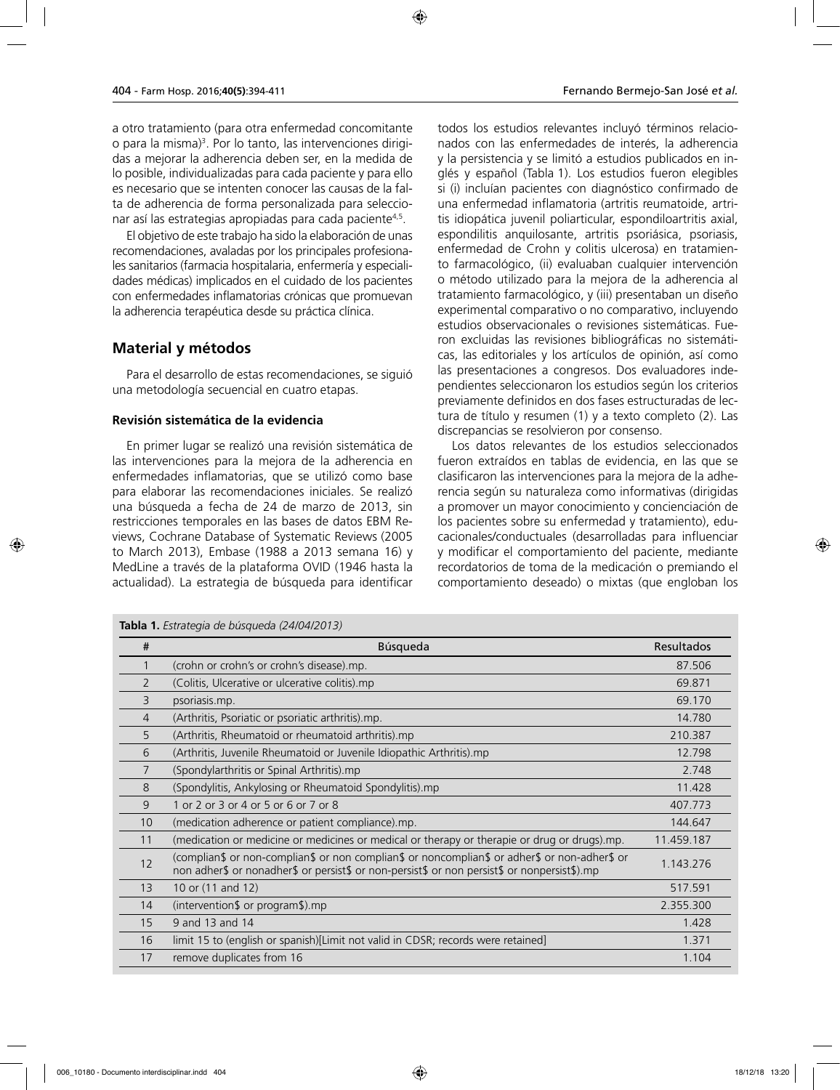a otro tratamiento (para otra enfermedad concomitante o para la misma)<sup>3</sup>. Por lo tanto, las intervenciones dirigidas a mejorar la adherencia deben ser, en la medida de lo posible, individualizadas para cada paciente y para ello es necesario que se intenten conocer las causas de la falta de adherencia de forma personalizada para seleccionar así las estrategias apropiadas para cada paciente4,5.

El objetivo de este trabajo ha sido la elaboración de unas recomendaciones, avaladas por los principales profesionales sanitarios (farmacia hospitalaria, enfermería y especialidades médicas) implicados en el cuidado de los pacientes con enfermedades inflamatorias crónicas que promuevan la adherencia terapéutica desde su práctica clínica.

# **Material y métodos**

Para el desarrollo de estas recomendaciones, se siguió una metodología secuencial en cuatro etapas.

### **Revisión sistemática de la evidencia**

En primer lugar se realizó una revisión sistemática de las intervenciones para la mejora de la adherencia en enfermedades inflamatorias, que se utilizó como base para elaborar las recomendaciones iniciales. Se realizó una búsqueda a fecha de 24 de marzo de 2013, sin restricciones temporales en las bases de datos EBM Reviews, Cochrane Database of Systematic Reviews (2005 to March 2013), Embase (1988 a 2013 semana 16) y MedLine a través de la plataforma OVID (1946 hasta la actualidad). La estrategia de búsqueda para identificar

**Tabla 1.** *Estrategia de búsqueda (24/04/2013)*

todos los estudios relevantes incluyó términos relacionados con las enfermedades de interés, la adherencia y la persistencia y se limitó a estudios publicados en inglés y español (Tabla 1). Los estudios fueron elegibles si (i) incluían pacientes con diagnóstico confirmado de una enfermedad inflamatoria (artritis reumatoide, artritis idiopática juvenil poliarticular, espondiloartritis axial, espondilitis anquilosante, artritis psoriásica, psoriasis, enfermedad de Crohn y colitis ulcerosa) en tratamiento farmacológico, (ii) evaluaban cualquier intervención o método utilizado para la mejora de la adherencia al tratamiento farmacológico, y (iii) presentaban un diseño experimental comparativo o no comparativo, incluyendo estudios observacionales o revisiones sistemáticas. Fueron excluidas las revisiones bibliográficas no sistemáticas, las editoriales y los artículos de opinión, así como las presentaciones a congresos. Dos evaluadores independientes seleccionaron los estudios según los criterios previamente definidos en dos fases estructuradas de lectura de título y resumen (1) y a texto completo (2). Las discrepancias se resolvieron por consenso.

Los datos relevantes de los estudios seleccionados fueron extraídos en tablas de evidencia, en las que se clasificaron las intervenciones para la mejora de la adherencia según su naturaleza como informativas (dirigidas a promover un mayor conocimiento y concienciación de los pacientes sobre su enfermedad y tratamiento), educacionales/conductuales (desarrolladas para influenciar y modificar el comportamiento del paciente, mediante recordatorios de toma de la medicación o premiando el comportamiento deseado) o mixtas (que engloban los

| #              | Búsqueda                                                                                                                                                                                      | <b>Resultados</b> |
|----------------|-----------------------------------------------------------------------------------------------------------------------------------------------------------------------------------------------|-------------------|
|                | (crohn or crohn's or crohn's disease) mp.                                                                                                                                                     | 87.506            |
| $\overline{2}$ | (Colitis, Ulcerative or ulcerative colitis).mp                                                                                                                                                | 69.871            |
| 3              | psoriasis.mp.                                                                                                                                                                                 | 69.170            |
| 4              | (Arthritis, Psoriatic or psoriatic arthritis) mp.                                                                                                                                             | 14.780            |
| 5              | (Arthritis, Rheumatoid or rheumatoid arthritis).mp                                                                                                                                            | 210.387           |
| 6              | (Arthritis, Juvenile Rheumatoid or Juvenile Idiopathic Arthritis).mp                                                                                                                          | 12.798            |
| 7              | (Spondylarthritis or Spinal Arthritis).mp                                                                                                                                                     | 2.748             |
| 8              | (Spondylitis, Ankylosing or Rheumatoid Spondylitis) mp                                                                                                                                        | 11.428            |
| 9              | 1 or 2 or 3 or 4 or 5 or 6 or 7 or 8                                                                                                                                                          | 407.773           |
| 10             | (medication adherence or patient compliance) mp.                                                                                                                                              | 144.647           |
| 11             | (medication or medicine or medicines or medical or therapy or therapie or drug or drugs).mp.                                                                                                  | 11.459.187        |
| 12             | (complian\$ or non-complian\$ or non complian\$ or noncomplian\$ or adher\$ or non-adher\$ or<br>non adher\$ or nonadher\$ or persist\$ or non-persist\$ or non persist\$ or nonpersist\$).mp | 1.143.276         |
| 13             | 10 or (11 and 12)                                                                                                                                                                             | 517.591           |
| 14             | (intervention $\sqrt{ }$ or program $\sqrt{ }$ ) mp                                                                                                                                           | 2.355.300         |
| 15             | 9 and 13 and 14                                                                                                                                                                               | 1.428             |
| 16             | limit 15 to (english or spanish)[Limit not valid in CDSR; records were retained]                                                                                                              | 1.371             |
| 17             | remove duplicates from 16                                                                                                                                                                     | 1.104             |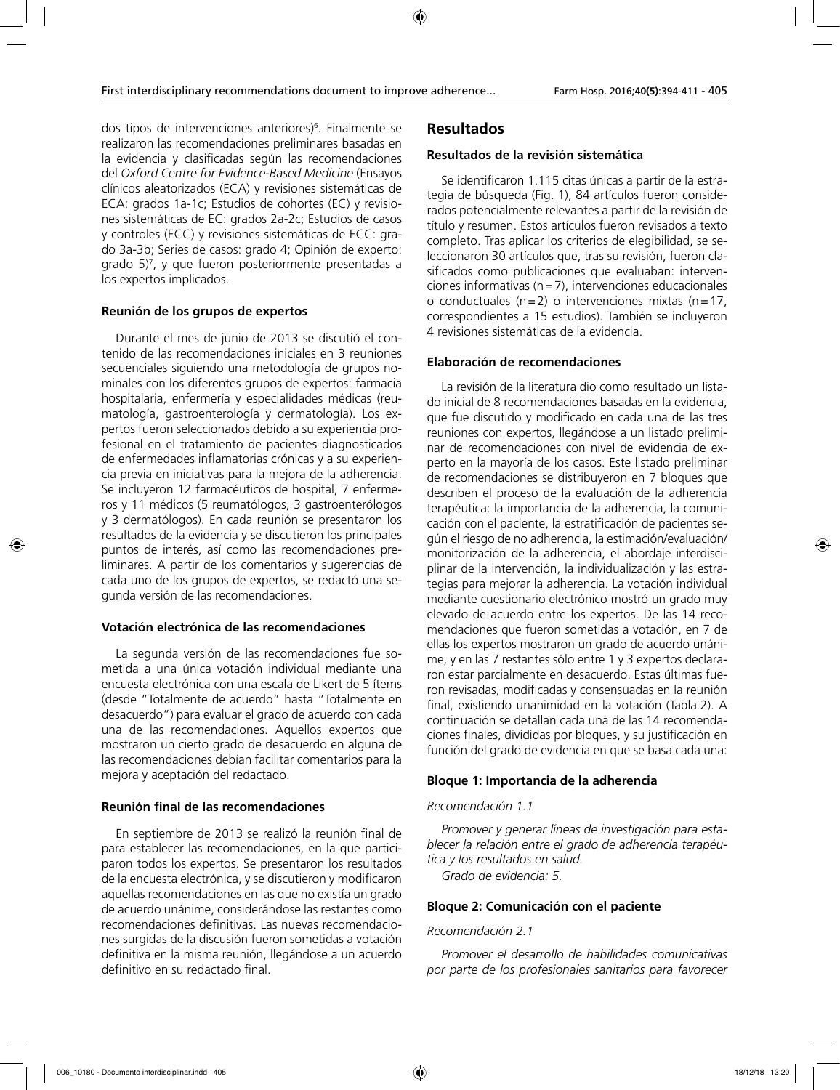dos tipos de intervenciones anteriores)<sup>6</sup>. Finalmente se realizaron las recomendaciones preliminares basadas en la evidencia y clasificadas según las recomendaciones del *Oxford Centre for Evidence-Based Medicine* (Ensayos clínicos aleatorizados (ECA) y revisiones sistemáticas de ECA: grados 1a-1c; Estudios de cohortes (EC) y revisiones sistemáticas de EC: grados 2a-2c; Estudios de casos y controles (ECC) y revisiones sistemáticas de ECC: grado 3a-3b; Series de casos: grado 4; Opinión de experto: grado 5)7 , y que fueron posteriormente presentadas a los expertos implicados.

### **Reunión de los grupos de expertos**

Durante el mes de junio de 2013 se discutió el contenido de las recomendaciones iniciales en 3 reuniones secuenciales siguiendo una metodología de grupos nominales con los diferentes grupos de expertos: farmacia hospitalaria, enfermería y especialidades médicas (reumatología, gastroenterología y dermatología). Los expertos fueron seleccionados debido a su experiencia profesional en el tratamiento de pacientes diagnosticados de enfermedades inflamatorias crónicas y a su experiencia previa en iniciativas para la mejora de la adherencia. Se incluyeron 12 farmacéuticos de hospital, 7 enfermeros y 11 médicos (5 reumatólogos, 3 gastroenterólogos y 3 dermatólogos). En cada reunión se presentaron los resultados de la evidencia y se discutieron los principales puntos de interés, así como las recomendaciones preliminares. A partir de los comentarios y sugerencias de cada uno de los grupos de expertos, se redactó una segunda versión de las recomendaciones.

#### **Votación electrónica de las recomendaciones**

La segunda versión de las recomendaciones fue sometida a una única votación individual mediante una encuesta electrónica con una escala de Likert de 5 ítems (desde "Totalmente de acuerdo" hasta "Totalmente en desacuerdo") para evaluar el grado de acuerdo con cada una de las recomendaciones. Aquellos expertos que mostraron un cierto grado de desacuerdo en alguna de las recomendaciones debían facilitar comentarios para la mejora y aceptación del redactado.

### **Reunión final de las recomendaciones**

En septiembre de 2013 se realizó la reunión final de para establecer las recomendaciones, en la que participaron todos los expertos. Se presentaron los resultados de la encuesta electrónica, y se discutieron y modificaron aquellas recomendaciones en las que no existía un grado de acuerdo unánime, considerándose las restantes como recomendaciones definitivas. Las nuevas recomendaciones surgidas de la discusión fueron sometidas a votación definitiva en la misma reunión, llegándose a un acuerdo definitivo en su redactado final.

# **Resultados**

### **Resultados de la revisión sistemática**

Se identificaron 1.115 citas únicas a partir de la estrategia de búsqueda (Fig. 1), 84 artículos fueron considerados potencialmente relevantes a partir de la revisión de título y resumen. Estos artículos fueron revisados a texto completo. Tras aplicar los criterios de elegibilidad, se seleccionaron 30 artículos que, tras su revisión, fueron clasificados como publicaciones que evaluaban: intervenciones informativas (n=7), intervenciones educacionales o conductuales (n=2) o intervenciones mixtas (n=17, correspondientes a 15 estudios). También se incluyeron 4 revisiones sistemáticas de la evidencia.

### **Elaboración de recomendaciones**

La revisión de la literatura dio como resultado un listado inicial de 8 recomendaciones basadas en la evidencia, que fue discutido y modificado en cada una de las tres reuniones con expertos, llegándose a un listado preliminar de recomendaciones con nivel de evidencia de experto en la mayoría de los casos. Este listado preliminar de recomendaciones se distribuyeron en 7 bloques que describen el proceso de la evaluación de la adherencia terapéutica: la importancia de la adherencia, la comunicación con el paciente, la estratificación de pacientes según el riesgo de no adherencia, la estimación/evaluación/ monitorización de la adherencia, el abordaje interdisciplinar de la intervención, la individualización y las estrategias para mejorar la adherencia. La votación individual mediante cuestionario electrónico mostró un grado muy elevado de acuerdo entre los expertos. De las 14 recomendaciones que fueron sometidas a votación, en 7 de ellas los expertos mostraron un grado de acuerdo unánime, y en las 7 restantes sólo entre 1 y 3 expertos declararon estar parcialmente en desacuerdo. Estas últimas fueron revisadas, modificadas y consensuadas en la reunión final, existiendo unanimidad en la votación (Tabla 2). A continuación se detallan cada una de las 14 recomendaciones finales, divididas por bloques, y su justificación en función del grado de evidencia en que se basa cada una:

### **Bloque 1: Importancia de la adherencia**

### *Recomendación 1.1*

*Promover y generar líneas de investigación para establecer la relación entre el grado de adherencia terapéutica y los resultados en salud.*

*Grado de evidencia: 5.*

### **Bloque 2: Comunicación con el paciente**

#### *Recomendación 2.1*

*Promover el desarrollo de habilidades comunicativas por parte de los profesionales sanitarios para favorecer*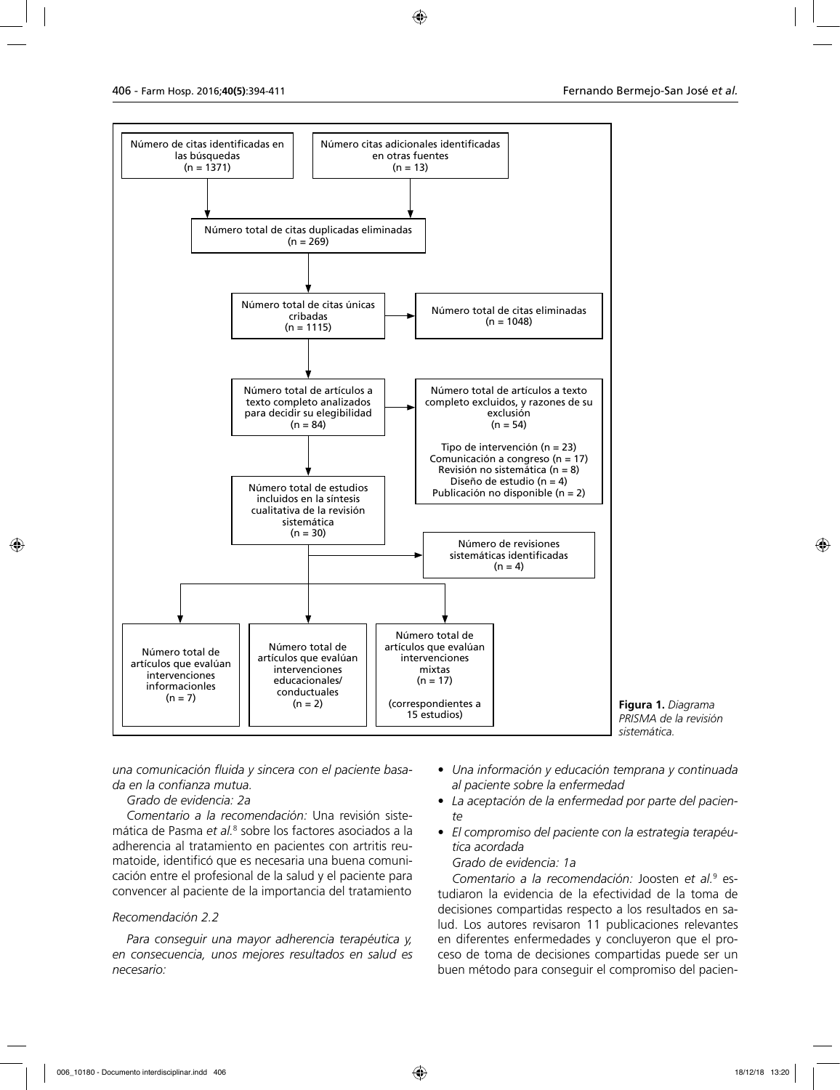



*una comunicación fluida y sincera con el paciente basada en la confianza mutua.*

# *Grado de evidencia: 2a*

*Comentario a la recomendación:* Una revisión sistemática de Pasma e*t al.*<sup>8</sup> sobre los factores asociados a la adherencia al tratamiento en pacientes con artritis reumatoide, identificó que es necesaria una buena comunicación entre el profesional de la salud y el paciente para convencer al paciente de la importancia del tratamiento

### *Recomendación 2.2*

*Para conseguir una mayor adherencia terapéutica y, en consecuencia, unos mejores resultados en salud es necesario:*

- *Una información y educación temprana y continuada al paciente sobre la enfermedad*
- *La aceptación de la enfermedad por parte del paciente*
- *El compromiso del paciente con la estrategia terapéutica acordada*

### *Grado de evidencia: 1a*

*Comentario a la recomendación:* Joosten *et al.*<sup>9</sup> estudiaron la evidencia de la efectividad de la toma de decisiones compartidas respecto a los resultados en salud. Los autores revisaron 11 publicaciones relevantes en diferentes enfermedades y concluyeron que el proceso de toma de decisiones compartidas puede ser un buen método para conseguir el compromiso del pacien-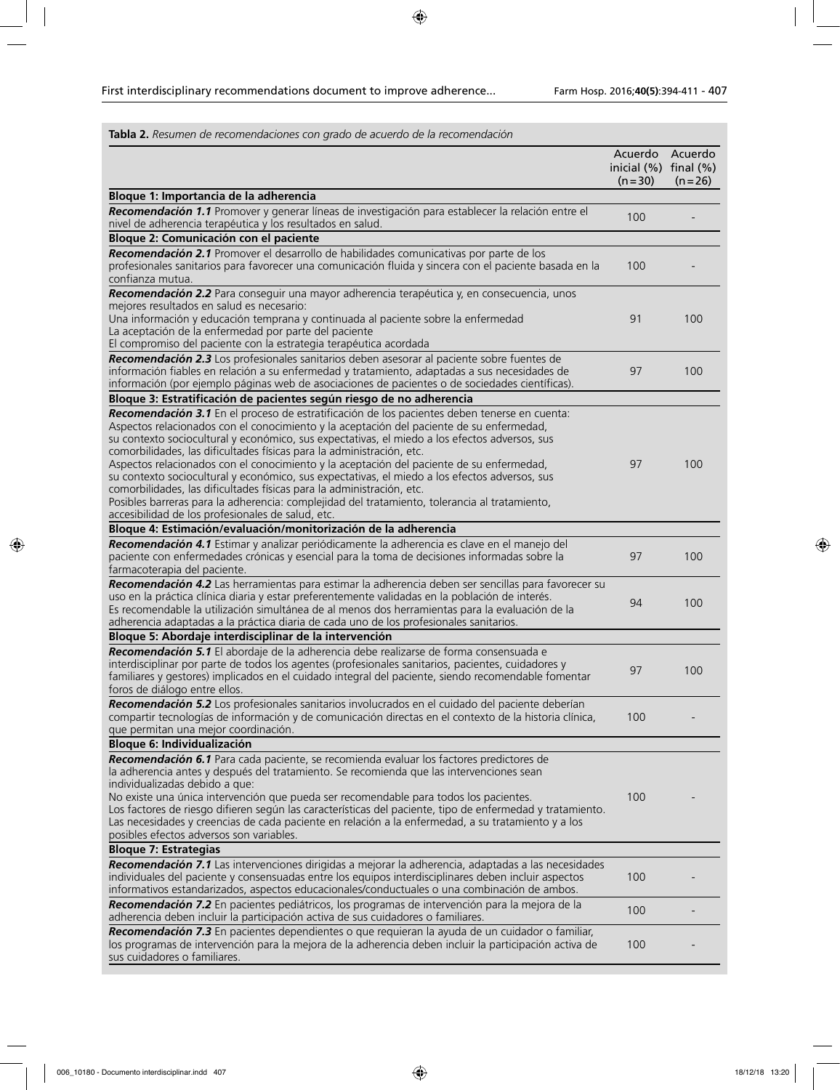| Tabla 2. Resumen de recomendaciones con grado de acuerdo de la recomendación                                                                                                                                                                                                                                                                                                                                                                                                                                                                                                                                                                                                                                                                                                                   |                                                    |                     |
|------------------------------------------------------------------------------------------------------------------------------------------------------------------------------------------------------------------------------------------------------------------------------------------------------------------------------------------------------------------------------------------------------------------------------------------------------------------------------------------------------------------------------------------------------------------------------------------------------------------------------------------------------------------------------------------------------------------------------------------------------------------------------------------------|----------------------------------------------------|---------------------|
|                                                                                                                                                                                                                                                                                                                                                                                                                                                                                                                                                                                                                                                                                                                                                                                                | Acuerdo<br>inicial $(\%)$ final $(\%)$<br>$(n=30)$ | Acuerdo<br>$(n=26)$ |
| Bloque 1: Importancia de la adherencia                                                                                                                                                                                                                                                                                                                                                                                                                                                                                                                                                                                                                                                                                                                                                         |                                                    |                     |
| Recomendación 1.1 Promover y generar líneas de investigación para establecer la relación entre el<br>nivel de adherencia terapéutica y los resultados en salud.                                                                                                                                                                                                                                                                                                                                                                                                                                                                                                                                                                                                                                | 100                                                |                     |
| Bloque 2: Comunicación con el paciente                                                                                                                                                                                                                                                                                                                                                                                                                                                                                                                                                                                                                                                                                                                                                         |                                                    |                     |
| Recomendación 2.1 Promover el desarrollo de habilidades comunicativas por parte de los<br>profesionales sanitarios para favorecer una comunicación fluida y sincera con el paciente basada en la<br>confianza mutua.                                                                                                                                                                                                                                                                                                                                                                                                                                                                                                                                                                           | 100                                                |                     |
| Recomendación 2.2 Para conseguir una mayor adherencia terapéutica y, en consecuencia, unos<br>mejores resultados en salud es necesario:<br>Una información y educación temprana y continuada al paciente sobre la enfermedad<br>La aceptación de la enfermedad por parte del paciente<br>El compromiso del paciente con la estrategia terapéutica acordada                                                                                                                                                                                                                                                                                                                                                                                                                                     | 91                                                 | 100                 |
| Recomendación 2.3 Los profesionales sanitarios deben asesorar al paciente sobre fuentes de<br>información fiables en relación a su enfermedad y tratamiento, adaptadas a sus necesidades de<br>información (por ejemplo páginas web de asociaciones de pacientes o de sociedades científicas).                                                                                                                                                                                                                                                                                                                                                                                                                                                                                                 | 97                                                 | 100                 |
| Bloque 3: Estratificación de pacientes según riesgo de no adherencia                                                                                                                                                                                                                                                                                                                                                                                                                                                                                                                                                                                                                                                                                                                           |                                                    |                     |
| Recomendación 3.1 En el proceso de estratificación de los pacientes deben tenerse en cuenta:<br>Aspectos relacionados con el conocimiento y la aceptación del paciente de su enfermedad,<br>su contexto sociocultural y económico, sus expectativas, el miedo a los efectos adversos, sus<br>comorbilidades, las dificultades físicas para la administración, etc.<br>Aspectos relacionados con el conocimiento y la aceptación del paciente de su enfermedad,<br>su contexto sociocultural y económico, sus expectativas, el miedo a los efectos adversos, sus<br>comorbilidades, las dificultades físicas para la administración, etc.<br>Posibles barreras para la adherencia: complejidad del tratamiento, tolerancia al tratamiento,<br>accesibilidad de los profesionales de salud, etc. | 97                                                 | 100                 |
| Bloque 4: Estimación/evaluación/monitorización de la adherencia                                                                                                                                                                                                                                                                                                                                                                                                                                                                                                                                                                                                                                                                                                                                |                                                    |                     |
| Recomendación 4.1 Estimar y analizar periódicamente la adherencia es clave en el manejo del<br>paciente con enfermedades crónicas y esencial para la toma de decisiones informadas sobre la<br>farmacoterapia del paciente.                                                                                                                                                                                                                                                                                                                                                                                                                                                                                                                                                                    | 97                                                 | 100                 |
| Recomendación 4.2 Las herramientas para estimar la adherencia deben ser sencillas para favorecer su<br>uso en la práctica clínica diaria y estar preferentemente validadas en la población de interés.<br>Es recomendable la utilización simultánea de al menos dos herramientas para la evaluación de la<br>adherencia adaptadas a la práctica diaria de cada uno de los profesionales sanitarios.                                                                                                                                                                                                                                                                                                                                                                                            | 94                                                 | 100                 |
| Bloque 5: Abordaje interdisciplinar de la intervención                                                                                                                                                                                                                                                                                                                                                                                                                                                                                                                                                                                                                                                                                                                                         |                                                    |                     |
| Recomendación 5.1 El abordaje de la adherencia debe realizarse de forma consensuada e<br>interdisciplinar por parte de todos los agentes (profesionales sanitarios, pacientes, cuidadores y<br>familiares y gestores) implicados en el cuidado integral del paciente, siendo recomendable fomentar<br>foros de diálogo entre ellos.                                                                                                                                                                                                                                                                                                                                                                                                                                                            | 97                                                 | 100                 |
| Recomendación 5.2 Los profesionales sanitarios involucrados en el cuidado del paciente deberían<br>compartir tecnologías de información y de comunicación directas en el contexto de la historia clínica,<br>que permitan una mejor coordinación.                                                                                                                                                                                                                                                                                                                                                                                                                                                                                                                                              | 100                                                |                     |
| <b>Bloque 6: Individualización</b>                                                                                                                                                                                                                                                                                                                                                                                                                                                                                                                                                                                                                                                                                                                                                             |                                                    |                     |
| Recomendación 6.1 Para cada paciente, se recomienda evaluar los factores predictores de<br>la adherencia antes y después del tratamiento. Se recomienda que las intervenciones sean<br>individualizadas debido a que:<br>No existe una única intervención que pueda ser recomendable para todos los pacientes.<br>Los factores de riesgo difieren según las características del paciente, tipo de enfermedad y tratamiento.<br>Las necesidades y creencias de cada paciente en relación a la enfermedad, a su tratamiento y a los<br>posibles efectos adversos son variables.                                                                                                                                                                                                                  | 100                                                |                     |
| <b>Bloque 7: Estrategias</b>                                                                                                                                                                                                                                                                                                                                                                                                                                                                                                                                                                                                                                                                                                                                                                   |                                                    |                     |
| Recomendación 7.1 Las intervenciones dirigidas a mejorar la adherencia, adaptadas a las necesidades<br>individuales del paciente y consensuadas entre los equipos interdisciplinares deben incluir aspectos<br>informativos estandarizados, aspectos educacionales/conductuales o una combinación de ambos.                                                                                                                                                                                                                                                                                                                                                                                                                                                                                    | 100                                                |                     |
| Recomendación 7.2 En pacientes pediátricos, los programas de intervención para la mejora de la<br>adherencia deben incluir la participación activa de sus cuidadores o familiares.                                                                                                                                                                                                                                                                                                                                                                                                                                                                                                                                                                                                             | 100                                                |                     |
| Recomendación 7.3 En pacientes dependientes o que requieran la ayuda de un cuidador o familiar,<br>los programas de intervención para la mejora de la adherencia deben incluir la participación activa de<br>sus cuidadores o familiares.                                                                                                                                                                                                                                                                                                                                                                                                                                                                                                                                                      | 100                                                |                     |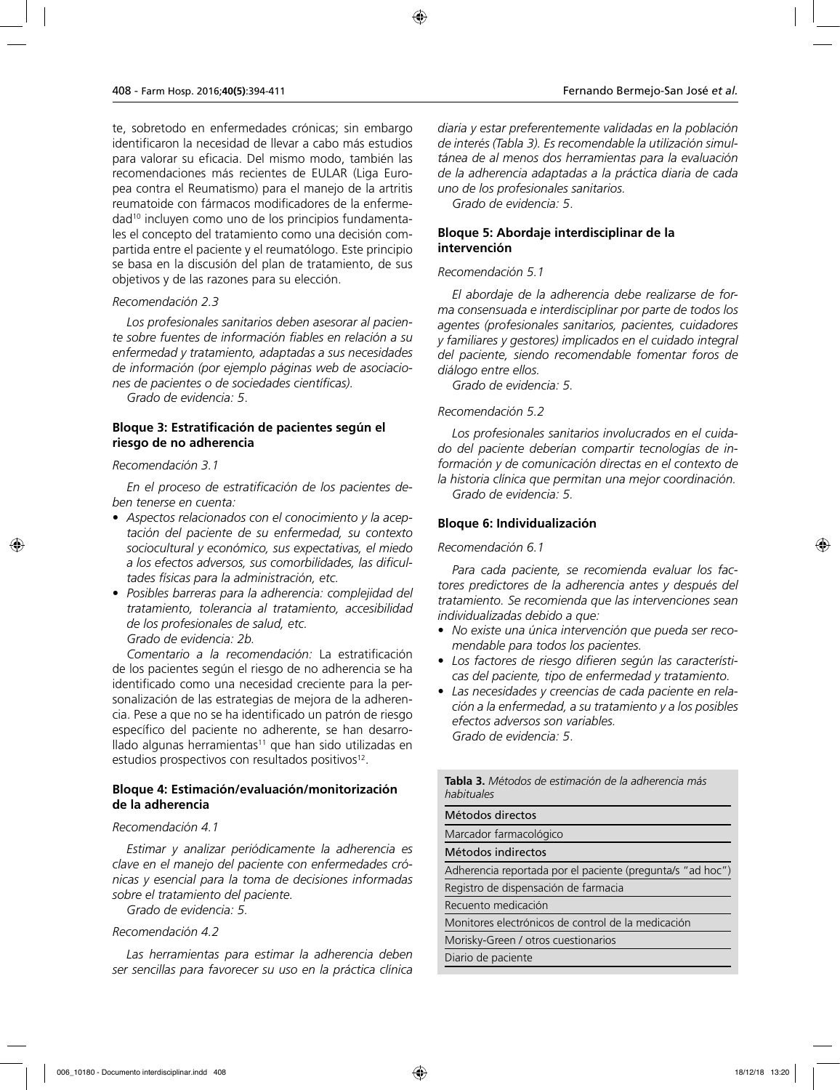te, sobretodo en enfermedades crónicas; sin embargo identificaron la necesidad de llevar a cabo más estudios para valorar su eficacia. Del mismo modo, también las recomendaciones más recientes de EULAR (Liga Europea contra el Reumatismo) para el manejo de la artritis reumatoide con fármacos modificadores de la enfermedad10 incluyen como uno de los principios fundamentales el concepto del tratamiento como una decisión compartida entre el paciente y el reumatólogo. Este principio se basa en la discusión del plan de tratamiento, de sus objetivos y de las razones para su elección.

### *Recomendación 2.3*

*Los profesionales sanitarios deben asesorar al paciente sobre fuentes de información fiables en relación a su enfermedad y tratamiento, adaptadas a sus necesidades de información (por ejemplo páginas web de asociaciones de pacientes o de sociedades científicas).*

*Grado de evidencia: 5*.

### **Bloque 3: Estratificación de pacientes según el riesgo de no adherencia**

### *Recomendación 3.1*

*En el proceso de estratificación de los pacientes deben tenerse en cuenta:*

- *Aspectos relacionados con el conocimiento y la aceptación del paciente de su enfermedad, su contexto sociocultural y económico, sus expectativas, el miedo a los efectos adversos, sus comorbilidades, las dificultades físicas para la administración, etc.*
- *Posibles barreras para la adherencia: complejidad del tratamiento, tolerancia al tratamiento, accesibilidad de los profesionales de salud, etc. Grado de evidencia: 2b.*

*Comentario a la recomendación:* La estratificación de los pacientes según el riesgo de no adherencia se ha identificado como una necesidad creciente para la personalización de las estrategias de mejora de la adherencia. Pese a que no se ha identificado un patrón de riesgo específico del paciente no adherente, se han desarrollado algunas herramientas $11$  que han sido utilizadas en estudios prospectivos con resultados positivos<sup>12</sup>.

## **Bloque 4: Estimación/evaluación/monitorización de la adherencia**

### *Recomendación 4.1*

*Estimar y analizar periódicamente la adherencia es clave en el manejo del paciente con enfermedades crónicas y esencial para la toma de decisiones informadas sobre el tratamiento del paciente.*

*Grado de evidencia: 5.*

### *Recomendación 4.2*

*Las herramientas para estimar la adherencia deben ser sencillas para favorecer su uso en la práctica clínica* 

*Grado de evidencia: 5*.

# **Bloque 5: Abordaje interdisciplinar de la intervención**

# *Recomendación 5.1*

*El abordaje de la adherencia debe realizarse de forma consensuada e interdisciplinar por parte de todos los agentes (profesionales sanitarios, pacientes, cuidadores y familiares y gestores) implicados en el cuidado integral del paciente, siendo recomendable fomentar foros de diálogo entre ellos.*

*Grado de evidencia: 5.*

# *Recomendación 5.2*

*Los profesionales sanitarios involucrados en el cuidado del paciente deberían compartir tecnologías de información y de comunicación directas en el contexto de la historia clínica que permitan una mejor coordinación. Grado de evidencia: 5.*

### **Bloque 6: Individualización**

### *Recomendación 6.1*

*Para cada paciente, se recomienda evaluar los factores predictores de la adherencia antes y después del tratamiento. Se recomienda que las intervenciones sean individualizadas debido a que:*

- *No existe una única intervención que pueda ser recomendable para todos los pacientes.*
- *Los factores de riesgo difieren según las características del paciente, tipo de enfermedad y tratamiento.*
- *Las necesidades y creencias de cada paciente en relación a la enfermedad, a su tratamiento y a los posibles efectos adversos son variables. Grado de evidencia: 5*.

| <b>Tabla 3.</b> Métodos de estimación de la adherencia más<br>habituales |
|--------------------------------------------------------------------------|
| Métodos directos                                                         |
| Marcador farmacológico                                                   |
| Métodos indirectos                                                       |
| Adherencia reportada por el paciente (pregunta/s "ad hoc")               |
| Registro de dispensación de farmacia                                     |
| Recuento medicación                                                      |
| Monitores electrónicos de control de la medicación                       |
| Morisky-Green / otros cuestionarios                                      |
| Diario de paciente                                                       |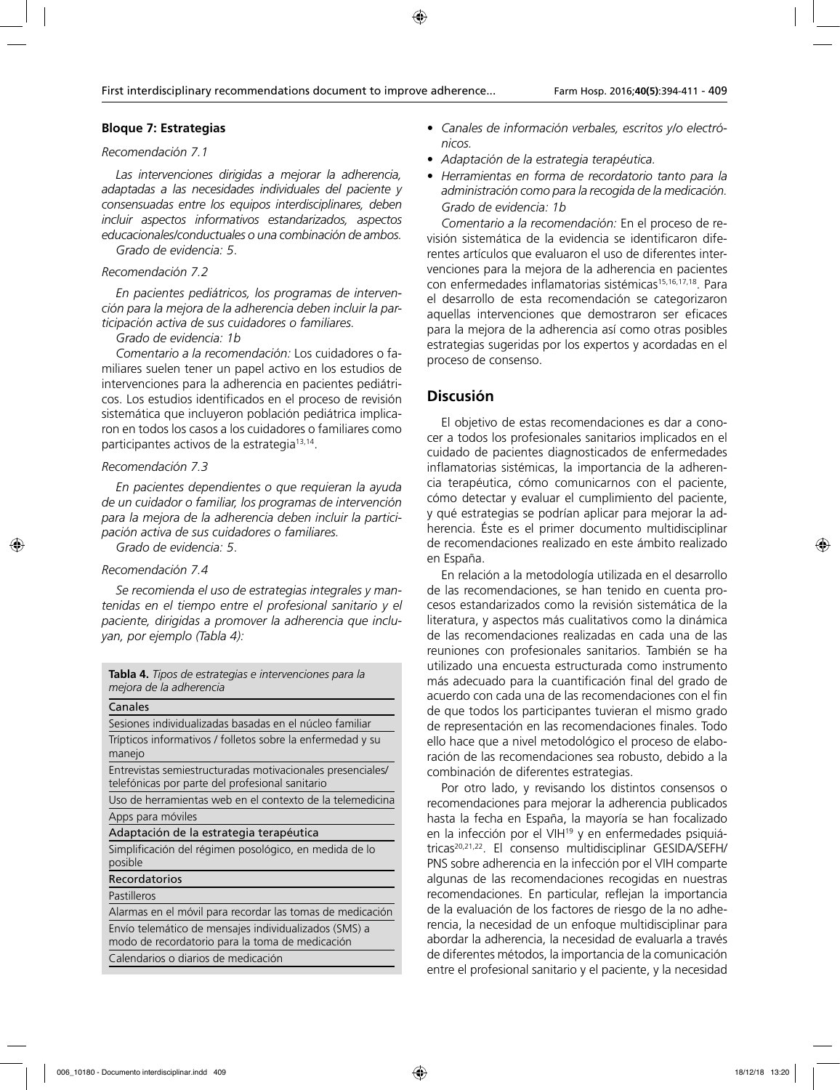### **Bloque 7: Estrategias**

### *Recomendación 7.1*

*Las intervenciones dirigidas a mejorar la adherencia, adaptadas a las necesidades individuales del paciente y consensuadas entre los equipos interdisciplinares, deben incluir aspectos informativos estandarizados, aspectos educacionales/conductuales o una combinación de ambos. Grado de evidencia: 5*.

#### *Recomendación 7.2*

*En pacientes pediátricos, los programas de intervención para la mejora de la adherencia deben incluir la participación activa de sus cuidadores o familiares.*

## *Grado de evidencia: 1b*

*Comentario a la recomendación:* Los cuidadores o familiares suelen tener un papel activo en los estudios de intervenciones para la adherencia en pacientes pediátricos. Los estudios identificados en el proceso de revisión sistemática que incluyeron población pediátrica implicaron en todos los casos a los cuidadores o familiares como participantes activos de la estrategia<sup>13,14</sup>.

#### *Recomendación 7.3*

*En pacientes dependientes o que requieran la ayuda de un cuidador o familiar, los programas de intervención para la mejora de la adherencia deben incluir la participación activa de sus cuidadores o familiares.*

*Grado de evidencia: 5*.

### *Recomendación 7.4*

*Se recomienda el uso de estrategias integrales y mantenidas en el tiempo entre el profesional sanitario y el paciente, dirigidas a promover la adherencia que incluyan, por ejemplo (Tabla 4):*

|                         | <b>Tabla 4.</b> Tipos de estrategias e intervenciones para la |  |
|-------------------------|---------------------------------------------------------------|--|
| mejora de la adherencia |                                                               |  |

| Canales                                                    |
|------------------------------------------------------------|
| Sesiones individualizadas basadas en el núcleo familiar    |
| Trípticos informativos / folletos sobre la enfermedad y su |
| manejo                                                     |
| Entrevistas semiestructuradas motivacionales presenciales/ |
| telefónicas por parte del profesional sanitario            |
| Uso de herramientas web en el contexto de la telemedicina  |
| Apps para móviles                                          |
| Adaptación de la estrategia terapéutica                    |
| Simplificación del régimen posológico, en medida de lo     |
| posible                                                    |
| Recordatorios                                              |
| Pastilleros                                                |
| Alarmas en el móvil para recordar las tomas de medicación  |
| Envío telemático de mensajes individualizados (SMS) a      |
| modo de recordatorio para la toma de medicación            |
| Calendarios o diarios de medicación                        |
|                                                            |

- *Canales de información verbales, escritos y/o electrónicos.*
- *Adaptación de la estrategia terapéutica.*
- *Herramientas en forma de recordatorio tanto para la administración como para la recogida de la medicación. Grado de evidencia: 1b*

*Comentario a la recomendación:* En el proceso de revisión sistemática de la evidencia se identificaron diferentes artículos que evaluaron el uso de diferentes intervenciones para la mejora de la adherencia en pacientes con enfermedades inflamatorias sistémicas<sup>15,16,17,18</sup>. Para el desarrollo de esta recomendación se categorizaron aquellas intervenciones que demostraron ser eficaces para la mejora de la adherencia así como otras posibles estrategias sugeridas por los expertos y acordadas en el proceso de consenso.

## **Discusión**

El objetivo de estas recomendaciones es dar a conocer a todos los profesionales sanitarios implicados en el cuidado de pacientes diagnosticados de enfermedades inflamatorias sistémicas, la importancia de la adherencia terapéutica, cómo comunicarnos con el paciente, cómo detectar y evaluar el cumplimiento del paciente, y qué estrategias se podrían aplicar para mejorar la adherencia. Éste es el primer documento multidisciplinar de recomendaciones realizado en este ámbito realizado en España.

En relación a la metodología utilizada en el desarrollo de las recomendaciones, se han tenido en cuenta procesos estandarizados como la revisión sistemática de la literatura, y aspectos más cualitativos como la dinámica de las recomendaciones realizadas en cada una de las reuniones con profesionales sanitarios. También se ha utilizado una encuesta estructurada como instrumento más adecuado para la cuantificación final del grado de acuerdo con cada una de las recomendaciones con el fin de que todos los participantes tuvieran el mismo grado de representación en las recomendaciones finales. Todo ello hace que a nivel metodológico el proceso de elaboración de las recomendaciones sea robusto, debido a la combinación de diferentes estrategias.

Por otro lado, y revisando los distintos consensos o recomendaciones para mejorar la adherencia publicados hasta la fecha en España, la mayoría se han focalizado en la infección por el VIH<sup>19</sup> y en enfermedades psiquiátricas20,21,22. El consenso multidisciplinar GESIDA/SEFH/ PNS sobre adherencia en la infección por el VIH comparte algunas de las recomendaciones recogidas en nuestras recomendaciones. En particular, reflejan la importancia de la evaluación de los factores de riesgo de la no adherencia, la necesidad de un enfoque multidisciplinar para abordar la adherencia, la necesidad de evaluarla a través de diferentes métodos, la importancia de la comunicación entre el profesional sanitario y el paciente, y la necesidad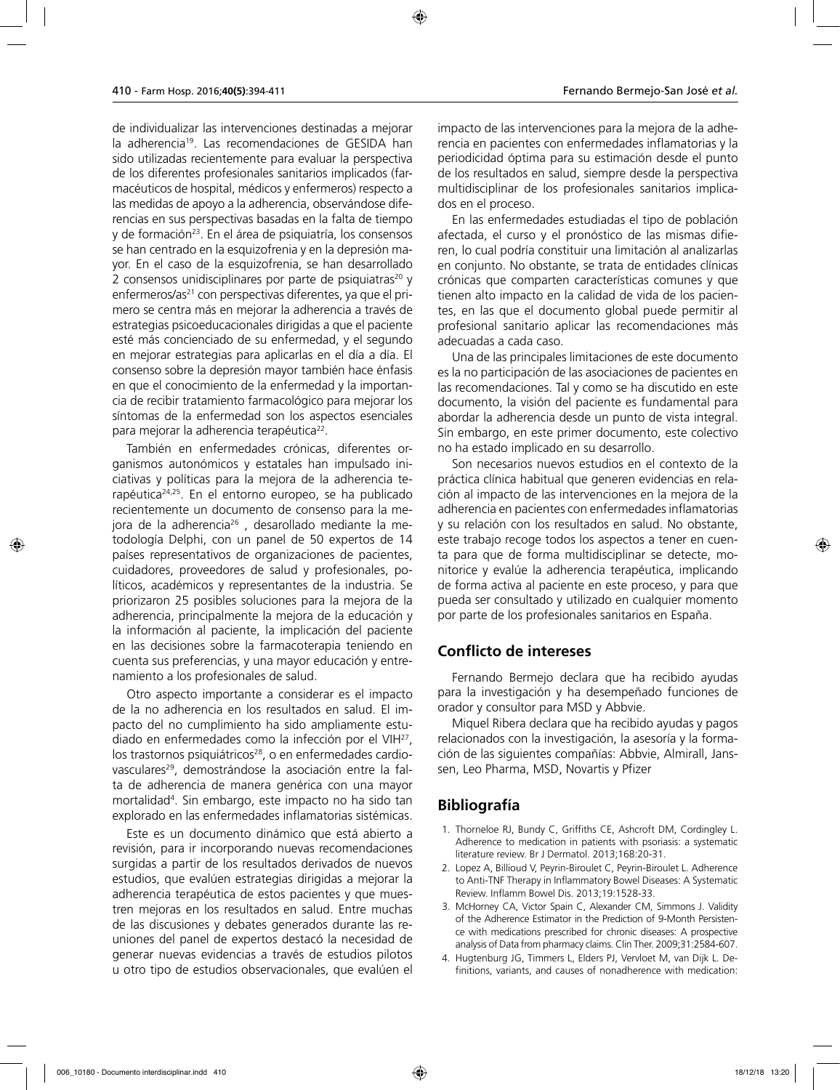de individualizar las intervenciones destinadas a mejorar la adherencia<sup>19</sup>. Las recomendaciones de GESIDA han sido utilizadas recientemente para evaluar la perspectiva de los diferentes profesionales sanitarios implicados (farmacéuticos de hospital, médicos y enfermeros) respecto a las medidas de apoyo a la adherencia, observándose diferencias en sus perspectivas basadas en la falta de tiempo y de formación<sup>23</sup>. En el área de psiquiatría, los consensos se han centrado en la esquizofrenia y en la depresión mayor. En el caso de la esquizofrenia, se han desarrollado 2 consensos unidisciplinares por parte de psiquiatras<sup>20</sup> y enfermeros/as<sup>21</sup> con perspectivas diferentes, ya que el primero se centra más en mejorar la adherencia a través de estrategias psicoeducacionales dirigidas a que el paciente esté más concienciado de su enfermedad, y el segundo en mejorar estrategias para aplicarlas en el día a día. El consenso sobre la depresión mayor también hace énfasis en que el conocimiento de la enfermedad y la importancia de recibir tratamiento farmacológico para mejorar los síntomas de la enfermedad son los aspectos esenciales para mejorar la adherencia terapéutica22.

También en enfermedades crónicas, diferentes organismos autonómicos y estatales han impulsado iniciativas y políticas para la mejora de la adherencia terapéutica24,25. En el entorno europeo, se ha publicado recientemente un documento de consenso para la mejora de la adherencia<sup>26</sup>, desarollado mediante la metodología Delphi, con un panel de 50 expertos de 14 países representativos de organizaciones de pacientes, cuidadores, proveedores de salud y profesionales, políticos, académicos y representantes de la industria. Se priorizaron 25 posibles soluciones para la mejora de la adherencia, principalmente la mejora de la educación y la información al paciente, la implicación del paciente en las decisiones sobre la farmacoterapia teniendo en cuenta sus preferencias, y una mayor educación y entrenamiento a los profesionales de salud.

Otro aspecto importante a considerar es el impacto de la no adherencia en los resultados en salud. El impacto del no cumplimiento ha sido ampliamente estudiado en enfermedades como la infección por el VIH27, los trastornos psiquiátricos<sup>28</sup>, o en enfermedades cardiovasculares<sup>29</sup>, demostrándose la asociación entre la falta de adherencia de manera genérica con una mayor mortalidad4 . Sin embargo, este impacto no ha sido tan explorado en las enfermedades inflamatorias sistémicas.

Este es un documento dinámico que está abierto a revisión, para ir incorporando nuevas recomendaciones surgidas a partir de los resultados derivados de nuevos estudios, que evalúen estrategias dirigidas a mejorar la adherencia terapéutica de estos pacientes y que muestren mejoras en los resultados en salud. Entre muchas de las discusiones y debates generados durante las reuniones del panel de expertos destacó la necesidad de generar nuevas evidencias a través de estudios pilotos u otro tipo de estudios observacionales, que evalúen el impacto de las intervenciones para la mejora de la adherencia en pacientes con enfermedades inflamatorias y la periodicidad óptima para su estimación desde el punto de los resultados en salud, siempre desde la perspectiva multidisciplinar de los profesionales sanitarios implicados en el proceso.

En las enfermedades estudiadas el tipo de población afectada, el curso y el pronóstico de las mismas difieren, lo cual podría constituir una limitación al analizarlas en conjunto. No obstante, se trata de entidades clínicas crónicas que comparten características comunes y que tienen alto impacto en la calidad de vida de los pacientes, en las que el documento global puede permitir al profesional sanitario aplicar las recomendaciones más adecuadas a cada caso.

Una de las principales limitaciones de este documento es la no participación de las asociaciones de pacientes en las recomendaciones. Tal y como se ha discutido en este documento, la visión del paciente es fundamental para abordar la adherencia desde un punto de vista integral. Sin embargo, en este primer documento, este colectivo no ha estado implicado en su desarrollo.

Son necesarios nuevos estudios en el contexto de la práctica clínica habitual que generen evidencias en relación al impacto de las intervenciones en la mejora de la adherencia en pacientes con enfermedades inflamatorias y su relación con los resultados en salud. No obstante, este trabajo recoge todos los aspectos a tener en cuenta para que de forma multidisciplinar se detecte, monitorice y evalúe la adherencia terapéutica, implicando de forma activa al paciente en este proceso, y para que pueda ser consultado y utilizado en cualquier momento por parte de los profesionales sanitarios en España.

# **Conflicto de intereses**

Fernando Bermejo declara que ha recibido ayudas para la investigación y ha desempeñado funciones de orador y consultor para MSD y Abbvie.

Miquel Ribera declara que ha recibido ayudas y pagos relacionados con la investigación, la asesoría y la formación de las siguientes compañías: Abbvie, Almirall, Janssen, Leo Pharma, MSD, Novartis y Pfizer

# **Bibliografía**

- 1. Thorneloe RJ, Bundy C, Griffiths CE, Ashcroft DM, Cordingley L. Adherence to medication in patients with psoriasis: a systematic literature review. Br J Dermatol. 2013;168:20-31.
- 2. Lopez A, Billioud V, Peyrin-Biroulet C, Peyrin-Biroulet L. Adherence to Anti-TNF Therapy in Inflammatory Bowel Diseases: A Systematic Review. Inflamm Bowel Dis. 2013;19:1528-33.
- 3. McHorney CA, Victor Spain C, Alexander CM, Simmons J. Validity of the Adherence Estimator in the Prediction of 9-Month Persistence with medications prescribed for chronic diseases: A prospective analysis of Data from pharmacy claims. Clin Ther. 2009;31:2584-607.
- 4. Hugtenburg JG, Timmers L, Elders PJ, Vervloet M, van Dijk L. Definitions, variants, and causes of nonadherence with medication: